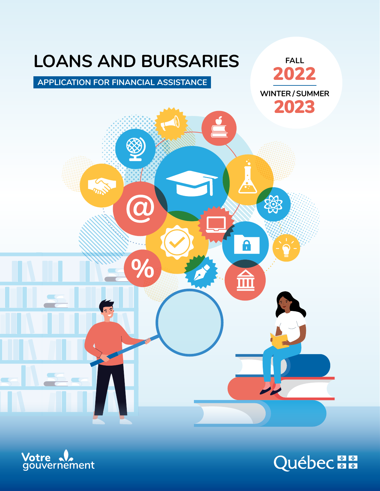



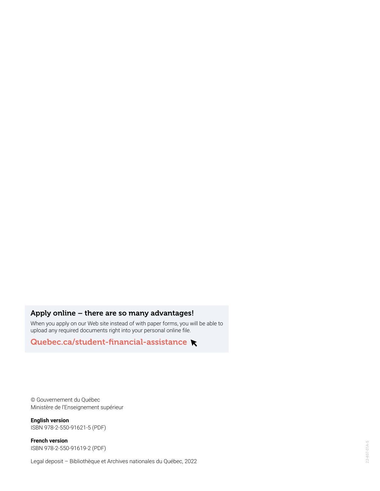## Apply online – there are so many advantages!

When you apply on our Web site instead of with paper forms, you will be able to upload any required documents right into your personal online file.

[Quebec.ca/student-financial-assistance](https://www.quebec.ca/en/education/student-financial-assistance/) **R** 

© Gouvernement du Québec Ministère de l'Enseignement supérieur

**English version**  ISBN 978-2-550-91621-5 (PDF)

**French version**  ISBN 978-2-550-91619-2 (PDF)

Legal deposit – Bibliothèque et Archives nationales du Québec, 2022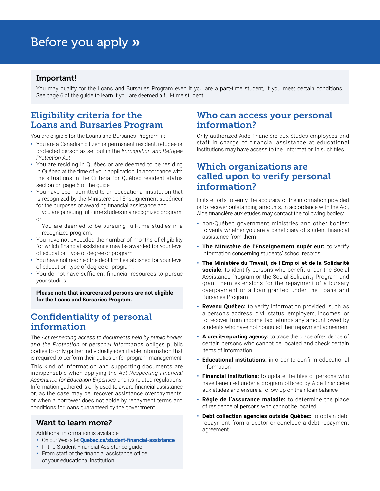# Before you apply »

### Important!

You may qualify for the Loans and Bursaries Program even if you are a part-time student, if you meet certain conditions. See page 6 of the guide to learn if you are deemed a full-time student.

# Eligibility criteria for the Loans and Bursaries Program

You are eligible for the Loans and Bursaries Program, if:

- **•** You are a Canadian citizen or permanent resident, refugee or protected person as set out in the *Immigration and Refugee Protection Act*
- **•** You are residing in Québec or are deemed to be residing in Québec at the time of your application, in accordance with the situations in the Criteria for Québec resident status section on page 5 of the guide
- **•** You have been admitted to an educational institution that is recognized by the Ministère de l'Enseignement supérieur for the purposes of awarding financial assistance and
	- you are pursuing full-time studies in a recognized program. or
	- You are deemed to be pursuing full-time studies in a recognized program.
- **•** You have not exceeded the number of months of eligibility for which financial assistance may be awarded for your level of education, type of degree or program.
- **•** You have not reached the debt limit established for your level of education, type of degree or program.
- **•** You do not have sufficient financial resources to pursue your studies.

**Please note that incarcerated persons are not eligible for the Loans and Bursaries Program.**

# Confidentiality of personal information

The *Act respecting access to documents held by public bodies and the Protection of personal information* obliges public bodies to only gather individually-identifiable information that is required to perform their duties or for program management.

This kind of information and supporting documents are indispensable when applying the *Act Respecting Financial Assistance for Education Expenses* and its related regulations. Information gathered is only used to award financial assistance or, as the case may be, recover assistance overpayments, or when a borrower does not abide by repayment terms and conditions for loans guaranteed by the government.

### Want to learn more?

Additional information is available:

- **•** On our Web site: **[Quebec.ca/student-financial-assistance](http://Quebec.ca/student-financial-assistance)**
- **•** In the Student Financial Assistance guide
- **•** From staff of the financial assistance office of your educational institution

# Who can access your personal information?

Only authorized Aide financière aux études employees and staff in charge of financial assistance at educational institutions may have access to the information in such files.

# Which organizations are called upon to verify personal information?

In its efforts to verify the accuracy of the information provided or to recover outstanding amounts, in accordance with the Act, Aide financière aux études may contact the following bodies:

- **•** non-Québec government ministries and other bodies: to verify whether you are a beneficiary of student financial assistance from them
- **• The Ministère de l'Enseignement supérieur:** to verify information concerning students' school records
- **• The Ministère du Travail, de l'Emploi et de la Solidarité sociale:** to identify persons who benefit under the Social Assistance Program or the Social Solidarity Program and grant them extensions for the repayment of a bursary overpayment or a loan granted under the Loans and Bursaries Program
- **• Revenu Québec:** to verify information provided, such as a person's address, civil status, employers, incomes, or to recover from income tax refunds any amount owed by students who have not honoured their repayment agreement
- **• A credit-reporting agency:** to trace the place ofresidence of certain persons who cannot be located and check certain items of information
- **• Educational institutions:** in order to confirm educational information
- **• Financial institutions:** to update the files of persons who have benefited under a program offered by Aide financière aux études and ensure a follow-up on their loan balance
- **• Régie de l'assurance maladie:** to determine the place of residence of persons who cannot be located
- **• Debt collection agencies outside Québec:** to obtain debt repayment from a debtor or conclude a debt repayment agreement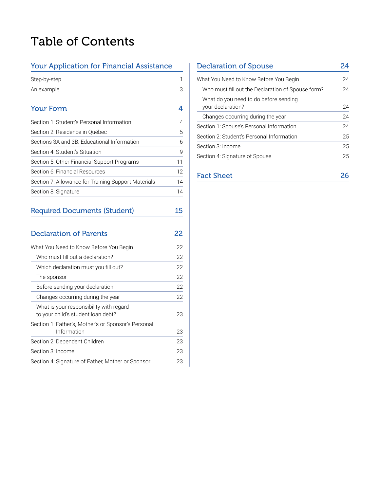# Table of Contents

### Your Application for Financial Assistance

| Step-by-step |  |
|--------------|--|
| An example   |  |

# [Your Form](#page-7-0) 4

| Section 1: Student's Personal Information           | 4  |
|-----------------------------------------------------|----|
| Section 2: Residence in Québec                      | 5  |
| Sections 3A and 3B: Educational Information         | 6  |
| Section 4: Student's Situation                      | 9  |
| Section 5: Other Financial Support Programs         | 11 |
| Section 6: Financial Resources                      | 12 |
| Section 7: Allowance for Training Support Materials | 14 |
| Section 8: Signature                                | 14 |
|                                                     |    |

# [Required Documents \(Student\)](#page-18-0) 15

| <b>Declaration of Parents</b>                                                 |    |
|-------------------------------------------------------------------------------|----|
| What You Need to Know Before You Begin                                        | 22 |
| Who must fill out a declaration?                                              | 22 |
| Which declaration must you fill out?                                          | 22 |
| The sponsor                                                                   | 22 |
| Before sending your declaration                                               | 22 |
| Changes occurring during the year                                             | 22 |
| What is your responsibility with regard<br>to your child's student loan debt? | 23 |
| Section 1: Father's, Mother's or Sponsor's Personal<br>Information            | 23 |
| Section 2: Dependent Children                                                 | 23 |
| Section 3: Income                                                             | 23 |
| Section 4: Signature of Father, Mother or Sponsor                             | 23 |

# [Declaration of Spouse](#page-27-0) 24 [What You Need to Know Before You Begin](#page-27-0) 24 [Who must fill out the Declaration of Spouse form?](#page-27-0) 24 [What do you need to do before sending](#page-27-0)  [your declaration?](#page-27-0) 24 [Changes occurring during the year](#page-27-0) 24 [Section 1: Spouse's Personal Information](#page-27-0) 24 [Section 2: Student's Personal Information](#page-28-0) 25 [Section 3: Income](#page-28-0) 25 [Section 4: Signature of Spouse](#page-28-0) 25

| <b>Fact Sheet</b> | 26 |  |
|-------------------|----|--|
|                   |    |  |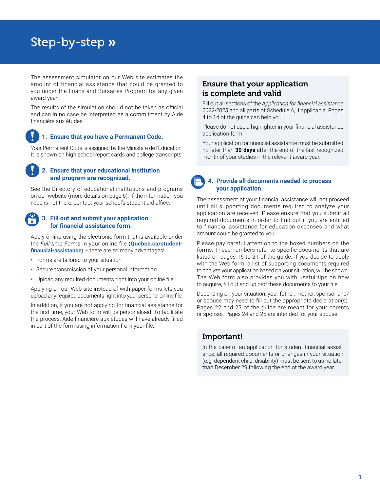# <span id="page-4-0"></span>Step-by-step »

The assessment simulator on our Web site estimates the amount of financial assistance that could be granted to you under the Loans and Bursaries Program for any given award year.

The results of the simulation should not be taken as official and can in no case be interpreted as a commitment by Aide financière aux études.

#### **1. Ensure that you have a Permanent Code.**

Your Permanent Code is assigned by the Ministère de l'Éducation. It is shown on high school report cards and college transcripts.

#### **2. Ensure that your educational institution and program are recognized.**

See the Directory of educational institutions and programs on our website (more details on page 6). If the information you need is not there, contact your school's student aid office.

#### **3. Fill out and submit your application for financial assistance form.**

Apply online using the electronic form that is available under the *Full-time Forms* in your online file (**[Quebec.ca/student](http://www.Quebec.ca/student-financial-assistance)[financial-assistance](http://www.Quebec.ca/student-financial-assistance)**) – there are so many advantages!

- **•** Forms are tailored to your situation
- **•** Secure transmission of your personal information
- **•** Upload any required documents right into your online file

Applying on our Web site instead of with paper forms lets you upload any required documents right into your personal online file.

In addition, if you are not applying for financial assistance for the first time, your Web form will be personalised. To facilitate the process, Aide financière aux études will have already filled in part of the form using information from your file.

## Ensure that your application is complete and valid

Fill out all sections of the *Application for financial assistance 2022-2023* and all parts of Schedule A, if applicable. Pages 4 to 14 of the guide can help you.

Please do not use a highlighter in your financial assistance application form.

Your application for financial assistance must be submitted no later than **30 days** after the end of the last recognized month of your studies in the relevant award year.

### **4. Provide all documents needed to process your application.**

The assessment of your financial assistance will not proceed until all supporting documents required to analyze your application are received. Please ensure that you submit all required documents in order to find out if you are entitled to financial assistance for education expenses and what amount could be granted to you.

Please pay careful attention to the boxed numbers on the forms. These numbers refer to specific documents that are listed on pages 15 to 21 of the guide. If you decide to apply with the Web form, a list of supporting documents required to analyze your application based on your situation, will be shown. The Web form also provides you with useful tips on how to acquire, fill out and upload these documents to your file.

Depending on your situation, your father, mother, sponsor and/ or spouse may need to fill out the appropriate declaration(s). Pages 22 and 23 of the guide are meant for your parents or sponsor. Pages 24 and 25 are intended for your spouse.

### Important!

In the case of an application for student financial assistance, all required documents or changes in your situation (e.g. dependent child, disability) must be sent to us no later than December 29 following the end of the award year.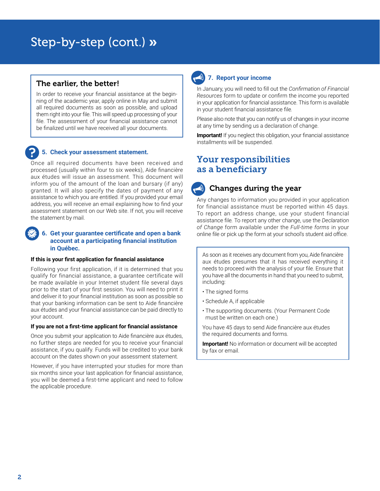# Step-by-step (cont.) »

### The earlier, the better!

In order to receive your financial assistance at the beginning of the academic year, apply online in May and submit all required documents as soon as possible, and upload them right into your file. This will speed up processing of your file. The assessment of your financial assistance cannot be finalized until we have received all your documents.

#### **5. Check your assessment statement.**

Once all required documents have been received and processed (usually within four to six weeks), Aide financière aux études will issue an assessment. This document will inform you of the amount of the loan and bursary (if any) granted. It will also specify the dates of payment of any assistance to which you are entitled. If you provided your email address, you will receive an email explaining how to find your assessment statement on our Web site. If not, you will receive the statement by mail.

#### **6. Get your guarantee certificate and open a bank account at a participating financial institution in Québec.**

#### **If this is your first application for financial assistance**

Following your first application, if it is determined that you qualify for financial assistance, a guarantee certificate will be made available in your Internet student file several days prior to the start of your first session. You will need to print it and deliver it to your financial institution as soon as possible so that your banking information can be sent to Aide financière aux études and your financial assistance can be paid directly to your account.

#### **If you are not a first-time applicant for financial assistance**

Once you submit your application to Aide financière aux études, no further steps are needed for you to receive your financial assistance, if you qualify. Funds will be credited to your bank account on the dates shown on your assessment statement.

However, if you have interrupted your studies for more than six months since your last application for financial assistance, you will be deemed a first-time applicant and need to follow the applicable procedure.

# **7. Report your income**

In January, you will need to fill out the *Confirmation of Financial Resources* form to update or confirm the income you reported in your application for financial assistance. This form is available in your student financial assistance file*.*

Please also note that you can notify us of changes in your income at any time by sending us a declaration of change.

**Important!** If you neglect this obligation, your financial assistance installments will be suspended.

# Your responsibilities as a beneficiary

# Changes during the year

Any changes to information you provided in your application for financial assistance must be reported within 45 days. To report an address change, use your student financial assistance file*.* To report any other change, use the *Declaration of Change* form available under the *Full-time forms* in your online file or pick up the form at your school's student aid office.

As soon as it receives any document from you, Aide financière aux études presumes that it has received everything it needs to proceed with the analysis of your file. Ensure that you have all the documents in hand that you need to submit, including:

- The signed forms
- Schedule A, if applicable
- The supporting documents. (Your Permanent Code must be written on each one.)

You have 45 days to send Aide financière aux études the required documents and forms.

**Important!** No information or document will be accepted by fax or email.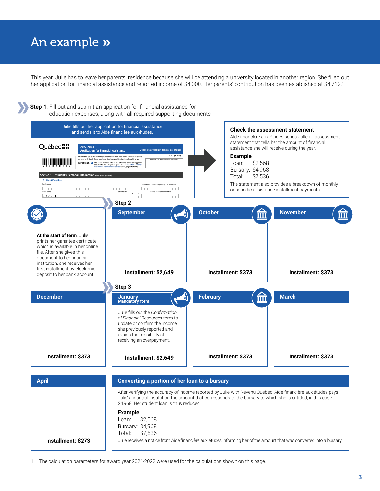# <span id="page-6-0"></span>An example »

This year, Julie has to leave her parents' residence because she will be attending a university located in another region. She filled out her application for financial assistance and reported income of \$4,000. Her parents' contribution has been established at \$4,712.<sup>1</sup>



1. The calculation parameters for award year 2021-2022 were used for the calculations shown on this page.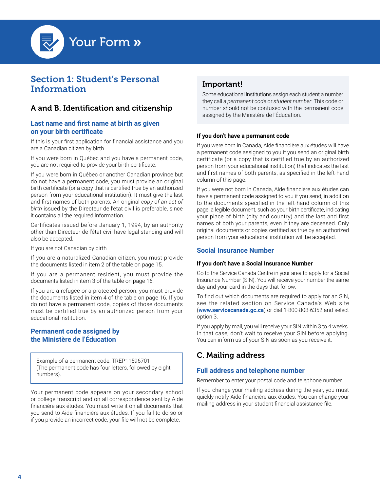<span id="page-7-0"></span>

# Section 1: Student's Personal Information

# A and B. Identification and citizenship

#### **Last name and first name at birth as given on your birth certificate**

If this is your first application for financial assistance and you are a Canadian citizen by birth

If you were born in Québec and you have a permanent code, you are not required to provide your birth certificate.

If you were born in Québec or another Canadian province but do not have a permanent code, you must provide an original birth certificate (or a copy that is certified true by an authorized person from your educational institution). It must give the last and first names of both parents. An original *copy of an act of birth* issued by the Directeur de l'état civil is preferable, since it contains all the required information.

Certificates issued before January 1, 1994, by an authority other than Directeur de l'état civil have legal standing and will also be accepted.

If you are not Canadian by birth

If you are a naturalized Canadian citizen, you must provide the documents listed in item 2 of the table on page 15.

If you are a permanent resident, you must provide the documents listed in item 3 of the table on page 16.

If you are a refugee or a protected person, you must provide the documents listed in item 4 of the table on page 16. If you do not have a permanent code, copies of those documents must be certified true by an authorized person from your educational institution.

#### **Permanent code assigned by the Ministère de l'Éducation**

Example of a permanent code: TREP11596701 (The permanent code has four letters, followed by eight numbers).

Your permanent code appears on your secondary school or college transcript and on all correspondence sent by Aide financière aux études. You must write it on all documents that you send to Aide financière aux études. If you fail to do so or if you provide an incorrect code, your file will not be complete.

# Important!

Some educational institutions assign each student a number they call a *permanent code* or *student number*. This code or number should not be confused with the permanent code assigned by the Ministère de l'Éducation.

#### **If you don't have a permanent code**

If you were born in Canada, Aide financière aux études will have a permanent code assigned to you if you send an original birth certificate (or a copy that is certified true by an authorized person from your educational institution) that indicates the last and first names of both parents, as specified in the left-hand column of this page.

If you were not born in Canada, Aide financière aux études can have a permanent code assigned to you if you send, in addition to the documents specified in the left-hand column of this page, a legible document, such as your birth certificate, indicating your place of birth (city and country) and the last and first names of both your parents, even if they are deceased. Only original documents or copies certified as true by an authorized person from your educational institution will be accepted.

#### **Social Insurance Number**

#### **If you don't have a Social Insurance Number**

Go to the Service Canada Centre in your area to apply for a Social Insurance Number (SIN). You will receive your number the same day and your card in the days that follow.

To find out which documents are required to apply for an SIN, see the related section on Service Canada's Web site (**[www.servicecanada.gc.ca](http://www.servicecanada.gc.ca)**) or dial 1-800-808-6352 and select option 3.

If you apply by mail, you will receive your SIN within 3 to 4 weeks. In that case, don't wait to receive your SIN before applying. You can inform us of your SIN as soon as you receive it.

# C. Mailing address

#### **Full address and telephone number**

Remember to enter your postal code and telephone number.

If you change your mailing address during the year, you must quickly notify Aide financière aux études. You can change your mailing address in your student financial assistance file.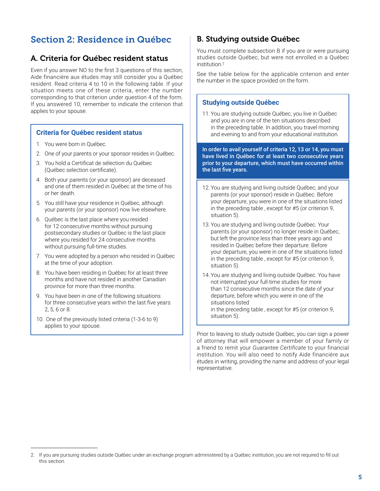# <span id="page-8-0"></span>Section 2: Residence in Québec

### A. Criteria for Québec resident status

Even if you answer NO to the first 3 questions of this section, Aide financière aux études may still consider you a Québec resident. Read criteria 4 to 10 in the following table. If your situation meets one of these criteria, enter the number corresponding to that criterion under question 4 of the form. If you answered 10, remember to indicate the criterion that applies to your spouse.

#### **Criteria for Québec resident status**

- 1. You were born in Québec.
- 2. One of your parents or your sponsor resides in Québec.
- 3. You hold a Certificat de sélection du Québec (Québec selection certificate).
- 4. Both your parents (or your sponsor) are deceased and one of them resided in Québec at the time of his or her death.
- 5. You still have your residence in Québec, although your parents (or your sponsor) now live elsewhere.
- 6. Québec is the last place where you resided for 12 consecutive months without pursuing postsecondary studies or Québec is the last place where you resided for 24 consecutive months without pursuing full-time studies.
- 7. You were adopted by a person who resided in Québec at the time of your adoption.
- 8. You have been residing in Québec for at least three months and have not resided in another Canadian province for more than three months.
- 9. You have been in one of the following situations for three consecutive years within the last five years: 2, 5, 6 or 8.
- 10. One of the previously listed criteria (1-3-6 to 9) applies to your spouse.

### B. Studying outside Québec

You must complete subsection B if you are or were pursuing studies outside Québec, but were not enrolled in a Québec institution.<sup>2</sup>

See the table below for the applicable criterion and enter the number in the space provided on the form.

#### **Studying outside Québec**

11. You are studying outside Québec, you live in Québec and you are in one of the ten situations described in the preceding table. In addition, you travel morning and evening to and from your educational institution.

In order to avail yourself of criteria 12, 13 or 14, you must have lived in Québec for at least two consecutive years prior to your departure, which must have occurred within the last five years.

- 12. You are studying and living outside Québec, and your parents (or your sponsor) reside in Québec. Before your departure, you were in one of the situations listed in the preceding table , except for #5 (or criterion 9, situation 5).
- 13. You are studying and living outside Québec. Your parents (or your sponsor) no longer reside in Québec, but left the province less than three years ago and resided in Québec before their departure. Before your departure, you were in one of the situations listed in the preceding table , except for #5 (or criterion 9, situation 5).
- 14. You are studying and living outside Québec. You have not interrupted your full-time studies for more than 12 consecutive months since the date of your departure, before which you were in one of the situations listed in the preceding table , except for #5 (or criterion 9, situation 5).

Prior to leaving to study outside Québec, you can sign a power of attorney that will empower a member of your family or a friend to remit your *Guarantee Certificate* to your financial institution. You will also need to notify Aide financière aux études in writing, providing the name and address of your legal representative.

<sup>2.</sup> If you are pursuing studies outside Québec under an exchange program administered by a Québec institution, you are not required to fill out this section.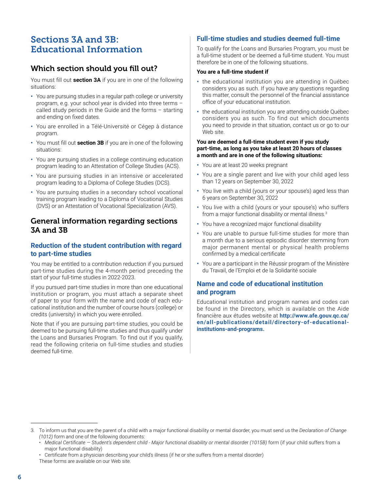# <span id="page-9-0"></span>Sections 3A and 3B: Educational Information

# Which section should you fill out?

You must fill out **section 3A** if you are in one of the following situations:

- **•** You are pursuing studies in a regular path college or university program, e.g. your school year is divided into three terms – called study periods in the Guide and the forms – starting and ending on fixed dates.
- **•** You are enrolled in a Télé-Université or Cégep à distance program.
- **•** You must fill out **section 3B** if you are in one of the following situations:
- **•** You are pursuing studies in a college continuing education program leading to an Attestation of College Studies (ACS).
- **•** You are pursuing studies in an intensive or accelerated program leading to a Diploma of College Studies (DCS).
- **•** You are pursuing studies in a secondary school vocational training program leading to a Diploma of Vocational Studies (DVS) or an Attestation of Vocational Specialization (AVS).

### General information regarding sections 3A and 3B

#### **Reduction of the student contribution with regard to part-time studies**

You may be entitled to a contribution reduction if you pursued part-time studies during the 4-month period preceding the start of your full-time studies in 2022-2023.

If you pursued part-time studies in more than one educational institution or program, you must attach a separate sheet of paper to your form with the name and code of each educational institution and the number of course hours (college) or credits (university) in which you were enrolled.

Note that if you are pursuing part-time studies, you could be deemed to be pursuing full-time studies and thus qualify under the Loans and Bursaries Program. To find out if you qualify, read the following criteria on full-time studies and studies deemed full-time.

### **Full-time studies and studies deemed full-time**

To qualify for the Loans and Bursaries Program, you must be a full-time student or be deemed a full-time student. You must therefore be in one of the following situations.

#### **You are a full-time student if**

- **•** the educational institution you are attending in Québec considers you as such. If you have any questions regarding this matter, consult the personnel of the financial assistance office of your educational institution.
- **•** the educational institution you are attending outside Québec considers you as such. To find out which documents you need to provide in that situation, contact us or go to our Web site.

#### **You are deemed a full-time student even if you study part-time, as long as you take at least 20 hours of classes a month and are in one of the following situations:**

- **•** You are at least 20 weeks pregnant
- **•** You are a single parent and live with your child aged less than 12 years on September 30, 2022
- **•** You live with a child (yours or your spouse's) aged less than 6 years on September 30, 2022
- **•** You live with a child (yours or your spouse's) who suffers from a major functional disability or mental illness.<sup>3</sup>
- **•** You have a recognized major functional disability
- **•** You are unable to pursue full-time studies for more than a month due to a serious episodic disorder stemming from major permanent mental or physical health problems confirmed by a medical certificate
- **•** You are a participant in the Réussir program of the Ministère du Travail, de l'Emploi et de la Solidarité sociale

### **Name and code of educational institution and program**

Educational institution and program names and codes can be found in the Directory, which is available on the Aide financière aux études website at **[http://www.afe.gouv.qc.ca/](http://www.afe.gouv.qc.ca/en/all-publications/detail/directory-of-educational-institutions-and-programs) [en/all-publications/detail/directory-of-educational](http://www.afe.gouv.qc.ca/en/all-publications/detail/directory-of-educational-institutions-and-programs)[institutions-and-programs.](http://www.afe.gouv.qc.ca/en/all-publications/detail/directory-of-educational-institutions-and-programs)**

<sup>3.</sup> To inform us that you are the parent of a child with a major functional disability or mental disorder, you must send us the *Declaration of Change (1012)* form and one of the following documents:

<sup>•</sup> *M*e*dical Certificate — Student's dependent child - Major functional disability or mental disorde*r *(1015B)* form (if your child suffers from a major functional disability)

<sup>•</sup> Certificate from a physician describing your child's illness (if he or she suffers from a mental disorder) These forms are available on our Web site.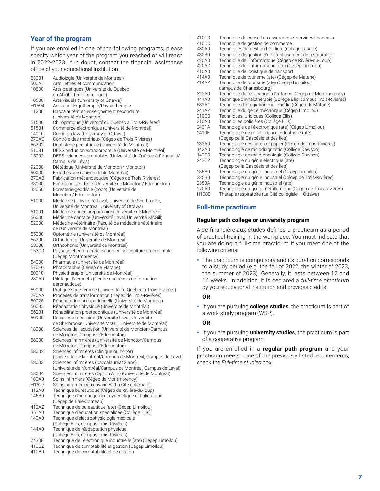#### **Year of the program**

If you are enrolled in one of the following programs, please specify which year of the program you reached or will reach in 2022-2023. If in doubt, contact the financial assistance office of your educational institution.

| 53001 | Audiologie (Université de Montréal)                             |
|-------|-----------------------------------------------------------------|
| 500A1 | Arts, lettres et communication                                  |
| 10800 | Arts plastiques (Université du Québec                           |
|       | en Abitibi-Témiscamingue)                                       |
| 10600 | Arts visuels (University of Ottawa)                             |
| H1594 | Assistant Ergothérapie/Physiothérapie                           |
| 11200 | Baccalauréat en enseignement secondaire                         |
|       | (Université de Moncton)                                         |
| 51500 | Chiropratique (Université du Québec à Trois-Rivières)           |
| 51501 | Commerce électronique (Université de Montréal)                  |
| 14010 | Common law (University of Ottawa)                               |
| 270AC | Contrôle des matériaux (Cégep de Trois-Rivières)                |
| 56202 | Dentisterie pédiatrique (Université de Montréal)                |
| 51081 | DESS perfusion extracorporelle (Université de Montréal)         |
| 15002 | DESS sciences comptables (Université du Québec à Rimouski/      |
|       | Campus de Lévis)                                                |
| 92000 | Diététique (Université de Moncton / Moncton)                    |
| 50000 | Ergothérapie (Université de Montréal)                           |
| 270AB | Fabrication mécanosoudée (Cégep de Trois-Rivières)              |
| 33000 | Foresterie-géodésie (Université de Moncton / Edmunston)         |
| 33050 | Foresterie-géodésie (coop) (Université de                       |
|       | Moncton / Edmunston)                                            |
| 51000 | Médecine (Université Laval, Université de Sherbrooke,           |
|       | Université de Montréal, University of Ottawa)                   |
| 51001 | Médecine année préparatoire (Université de Montréal)            |
|       | Médecine dentaire (Université Laval, Université McGill)         |
| 56000 |                                                                 |
| 52000 | Médecine vétérinaire (Faculté de médecine vétérinaire           |
|       | de l'Université de Montréal)                                    |
| 55000 | Optométrie (Université de Montréal)                             |
| 56200 | Orthodontie (Université de Montréal)                            |
| 53000 | Orthophonie (Université de Montréal)                            |
| 153C0 | Paysage et commercialisation en horticulture ornementale        |
|       | (Cégep Montmorency)                                             |
| 54000 | Pharmacie (Université de Montréal)                              |
| 570F0 | Photographie (Cégep de Matane)                                  |
| 50010 | Physiothérapie (Université de Montréal)                         |
| 280A0 | Pilotage d'aéronefs (Centre québécois de formation              |
|       | aéronautique)                                                   |
| 59000 | Pratique sage-femme (Université du Québec à Trois-Rivières)     |
| 270AA | Procédés de transformation (Cégep de Trois-Rivières)            |
| 50025 | Réadaptation occupationnelle (Université de Montréal)           |
| 50035 | Réadaptation physique (Université de Montréal)                  |
| 56201 | Réhabilitation prostodontique (Université de Montréal)          |
| 50900 | Résidence médecine (Université Laval, Université                |
|       | de Sherbrooke, Université McGill, Université de Montréal)       |
| 18000 | Sciences de l'éducation (Université de Moncton/Campus           |
|       | de Moncton, Campus d'Edmunston)                                 |
| 58000 | Sciences infirmières (Université de Moncton/Campus              |
|       | de Moncton, Campus d'Edmunston)                                 |
| 58002 | Sciences infirmières (clinique ou honor)                        |
|       | (Université de Montréal/Campus de Montréal, Campus de Laval)    |
| 58003 | Sciences infirmières (baccalauréat 2 ans)                       |
|       | (Université de Montréal/Campus de Montréal, Campus de Laval)    |
| 58004 | Sciences infirmières (Option ATE) (Université de Montréal)      |
| 180A0 | Soins infirmiers (Cégep de Montmorency)                         |
| H1627 | Soins paramédicaux avancés (La Cité collégiale)                 |
| 412A0 | Technique bureautique (Cégep de Rivière-du-loup)                |
| 145B0 | Technique d'aménagement cynégétique et halieutique              |
|       | (Cégep de Baie-Comeau)                                          |
| 412AZ | Technique de bureautique (ate) (Cégep Limoilou)                 |
| 351A0 | Technique d'éducation spécialisée (Collège Ellis)               |
| 140A0 | Technique d'électrophysiologie médicale                         |
|       | (Collège Ellis, campus Trois-Rivières)                          |
| 144A0 | Technique de réadaptation physique                              |
|       | (Collège Ellis, campus Trois-Rivières)                          |
| 2430F | Technique de l'électronique industrielle (ate) (Cégep Limoilou) |
| 410BZ | Technique de comptabilité et gestion (Cégep Limoilou)           |
| 410B0 | Technique de comptabilité et de gestion                         |

| 410C0 | Technique de conseil en assurance et services financiers          |
|-------|-------------------------------------------------------------------|
| 410D0 | Technique de gestion de commerce                                  |
| 430A0 | Techniques de gestion hôtelière (collège Lasalle)                 |
| 430B0 | Technique de gestion d'un établissement de restauration           |
| 420A0 | Technique de l'informatique (Cégep de Rivière-du-Loup)            |
| 420AZ | Technique de l'informatique (ate) (Cégep Limoilou)                |
| 410A0 | Technique de logistique de transport                              |
| 414A0 | Technique de tourisme (ate) (Cégep de Matane)                     |
| 414AZ | Technique de tourisme (ate) (Cégep Limoilou,                      |
|       | campus de Charlesbourg)                                           |
| 322A0 | Technique de l'éducation à l'enfance (Cégep de Montmorency)       |
| 141A0 | Technique d'inhalothérapie (Collège Ellis, campus Trois-Rivières) |
| 582A1 | Technique d'intégration multimédia (Cégep de Matane)              |
| 241AZ | Technique du génie mécanique (Cégep Limoilou)                     |
| 310C0 | Techniques juridiques (Collège Ellis)                             |
| 310A0 | Techniques policières (Collège Ellis)                             |
| 2431A | Technologie de l'électronique (ate) (Cégep Limoilou)              |
| 2410E | Technologie de maintenance industrielle (ate)                     |
|       | (Cégep de la Gaspésie et des Îles)                                |
| 232A0 | Technologie des pâtes et papier (Cégep de Trois-Rivières)         |
| 142A0 | Technologie de radiodiagnostic (Collège Dawson)                   |
| 142C0 | Technologie de radio-oncologie (Collège Dawson)                   |
| 243CZ | Technologie du génie électrique (ate)                             |
|       | (Cégep de la Gaspésie et des Îles)                                |
| 235B0 | Technologie du génie industriel (Cégep Limoilou)                  |
| 235B0 | Technologie du génie industriel (Cégep de Trois-Rivières)         |
| 2350A | Technologie du génie industriel (ate)                             |
| 270A0 | Technologie du génie métallurgique (Cégep de Trois-Rivières)      |
| H1080 | Thérapie respiratoire (La Cité collégiale - Ottawa)               |
|       |                                                                   |

#### **Full-time practicum**

#### **Regular path college or university program**

Aide financière aux études defines a practicum as a period of practical training in the workplace. You must indicate that you are doing a full-time practicum if you meet one of the following criteria:

**•** The practicum is compulsory and its duration corresponds to a study period (e.g. the fall of 2022, the winter of 2023, the summer of 2023). Generally, it lasts between 12 and 16 weeks. In addition, it is declared a *full-time practicum* by your educational institution and provides credits.

#### **OR**

**•** If you are pursuing **college studies**, the practicum is part of a work-study program (WSP).

#### **OR**

**•** If you are pursuing **university studies**, the practicum is part of a cooperative program.

If you are enrolled in a **regular path program** and your practicum meets none of the previously listed requirements, check the *Full-time studies* box.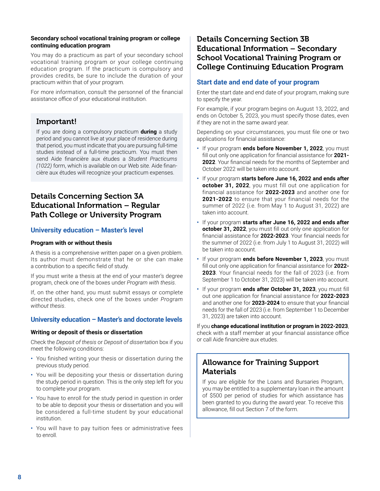#### **Secondary school vocational training program or college continuing education program**

You may do a practicum as part of your secondary school vocational training program or your college continuing education program. If the practicum is compulsory and provides credits, be sure to include the duration of your practicum within that of your program.

For more information, consult the personnel of the financial assistance office of your educational institution.

# Important!

If you are doing a compulsory practicum **during** a study period and you cannot live at your place of residence during that period, you must indicate that you are pursuing full-time studies instead of a full-time practicum. You must then send Aide financière aux études a *Student Practicums (1022)* form, which is available on our Web site. Aide financière aux études will recognize your practicum expenses.

# Details Concerning Section 3A Educational Information – Regular Path College or University Program

#### **University education – Master's level**

#### **Program with or without thesis**

A thesis is a comprehensive written paper on a given problem. Its author must demonstrate that he or she can make a contribution to a specific field of study.

If you must write a thesis at the end of your master's degree program, check one of the boxes under *Program with thesis*.

If, on the other hand, you must submit essays or complete directed studies, check one of the boxes under *Program without thesis*.

#### **University education – Master's and doctorate levels**

#### **Writing or deposit of thesis or dissertation**

Check the *Deposit of thesis* or *Deposit of dissertation* box if you meet the following conditions:

- **•** You finished writing your thesis or dissertation during the previous study period.
- **•** You will be depositing your thesis or dissertation during the study period in question. This is the only step left for you to complete your program.
- **•** You have to enroll for the study period in question in order to be able to deposit your thesis or dissertation and you will be considered a full-time student by your educational institution.
- **•** You will have to pay tuition fees or administrative fees to enroll.

# Details Concerning Section 3B Educational Information – Secondary School Vocational Training Program or College Continuing Education Program

#### **Start date and end date of your program**

Enter the start date and end date of your program, making sure to specify the year.

For example, if your program begins on August 13, 2022, and ends on October 5, 2023, you must specify those dates, even if they are not in the same award year.

Depending on your circumstances, you must file one or two applications for financial assistance:

- **•** If your program **ends before November 1, 2022**, you must fill out only one application for financial assistance for **2021- 2022**. Your financial needs for the months of September and October 2022 will be taken into account.
- **•** If your program **starts before June 16, 2022 and ends after october 31, 2022**, you must fill out one application for financial assistance for **2022-2023** and another one for **2021-2022** to ensure that your financial needs for the summer of 2022 (i.e. from May 1 to August 31, 2022) are taken into account.
- **•** If your program **starts after June 16, 2022 and ends after october 31, 2022**, you must fill out only one application for financial assistance for **2022-2023**. Your financial needs for the summer of 2022 (i.e. from July 1 to August 31, 2022) will be taken into account.
- **•** If your program **ends before November 1, 2023**, you must fill out only one application for financial assistance for **2022- 2023**. Your financial needs for the fall of 2023 (i.e. from September 1 to October 31, 2023) will be taken into account.
- **•** If your program **ends after October 31, 2023**, you must fill out one application for financial assistance for **2022-2023** and another one for **2023-2024** to ensure that your financial needs for the fall of 2023 (i.e. from September 1 to December 31, 2023) are taken into account.

If you **change educational institution or program in 2022-2023**, check with a staff member at your financial assistance office or call Aide financière aux etudes.

# Allowance for Training Support **Materials**

If you are eligible for the Loans and Bursaries Program, you may be entitled to a supplementary loan in the amount of \$500 per period of studies for which assistance has been granted to you during the award year. To receive this allowance, fill out Section 7 of the form.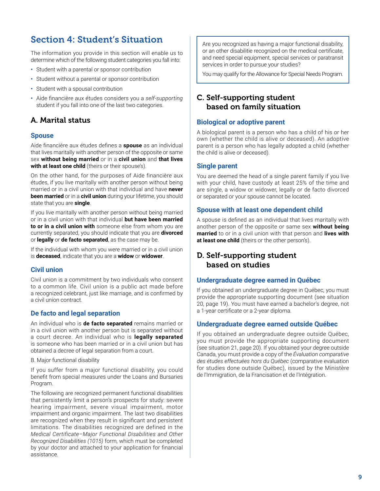# <span id="page-12-0"></span>Section 4: Student's Situation

The information you provide in this section will enable us to determine which of the following student categories you fall into:

- **•** Student with a parental or sponsor contribution
- **•** Student without a parental or sponsor contribution
- **•** Student with a spousal contribution
- **•** Aide financière aux études considers you a *self-supporting* student if you fall into one of the last two categories.

# A. Marital status

#### **Spouse**

Aide financière aux études defines a **spouse** as an individual that lives maritally with another person of the opposite or same sex **without being married** or in a **civil union** and **that lives**  with at least one child (theirs or their spouse's).

On the other hand, for the purposes of Aide financière aux études, if you live maritally with another person without being married or in a civil union with that individual and have **never been married** or in a **civil union** during your lifetime, you should state that you are **single**.

If you live maritally with another person without being married or in a civil union with that individual **but have been married to or in a civil union with** someone else from whom you are currently separated, you should indicate that you are **divorced**  or **legally** or **de facto separated**, as the case may be.

If the individual with whom you were married or in a civil union is **deceased**, indicate that you are a **widow** or **widower**.

#### **Civil union**

Civil union is a commitment by two individuals who consent to a common life. Civil union is a public act made before a recognized celebrant, just like marriage, and is confirmed by a civil union contract.

#### **De facto and legal separation**

An individual who is **de facto separated** remains married or in a civil union with another person but is separated without a court decree. An individual who is **legally separated** is someone who has been married or in a civil union but has obtained a decree of legal separation from a court.

B. Major functional disability

If you suffer from a major functional disability, you could benefit from special measures under the Loans and Bursaries Program.

The following are recognized permanent functional disabilities that persistently limit a person's prospects for study: severe hearing impairment, severe visual impairment, motor impairment and organic impairment. The last two disabilities are recognized when they result in significant and persistent limitations. The disabilities recognized are defined in the *Medical Certificate–Major Functional Disabilities and Other Recognized Disabilities (1015)* form, which must be completed by your doctor and attached to your application for financial assistance.

Are you recognized as having a major functional disability, or an other disabilitie recognized on the medical certificate, and need special equipment, special services or paratransit services in order to pursue your studies?

You may qualify for the Allowance for Special Needs Program.

# C. Self-supporting student based on family situation

#### **Biological or adoptive parent**

A biological parent is a person who has a child of his or her own (whether the child is alive or deceased). An adoptive parent is a person who has legally adopted a child (whether the child is alive or deceased).

#### **Single parent**

You are deemed the head of a single parent family if you live with your child, have custody at least 25% of the time and are single, a widow or widower, legally or de facto divorced or separated or your spouse cannot be located.

#### **Spouse with at least one dependent child**

A spouse is defined as an individual that lives maritally with another person of the opposite or same sex **without being married** to or in a civil union with that person and **lives with at least one child** (theirs or the other person's).

# D. Self-supporting student based on studies

#### **Undergraduate degree earned in Québec**

If you obtained an undergraduate degree in Québec, you must provide the appropriate supporting document (see situation 20, page 19). You must have earned a bachelor's degree, not a 1-year certificate or a 2-year diploma.

#### **Undergraduate degree earned outside Québec**

If you obtained an undergraduate degree outside Québec, you must provide the appropriate supporting document (see situation 21, page 20). If you obtained your degree outside Canada, you must provide a copy of the *Évaluation comparative des études effectuées hors du Québec* (comparative evaluation for studies done outside Québec), issued by the Ministère de l'Immigration, de la Francisation et de l'Intégration.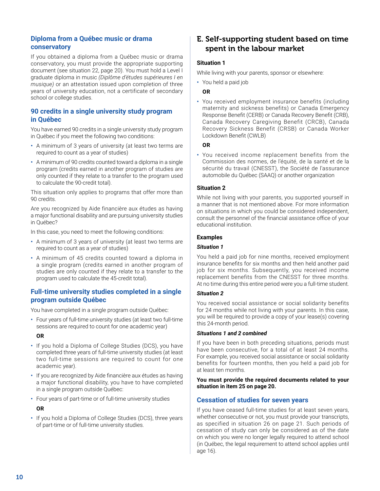#### **Diploma from a Québec music or drama conservatory**

If you obtained a diploma from a Québec music or drama conservatory, you must provide the appropriate supporting document (see situation 22, page 20). You must hold a Level I graduate diploma in music *(Diplôme d'études supérieures I en musique)* or an attestation issued upon completion of three years of university education, not a certificate of secondary school or college studies.

#### **90 credits in a single university study program in Québec**

You have earned 90 credits in a single university study program in Québec if you meet the following two conditions:

- **•** A minimum of 3 years of university (at least two terms are required to count as a year of studies)
- **•** A minimum of 90 credits counted toward a diploma in a single program (credits earned in another program of studies are only counted if they relate to a transfer to the program used to calculate the 90-credit total).

This situation only applies to programs that offer more than 90 credits.

Are you recognized by Aide financière aux études as having a major functional disability and are pursuing university studies in Québec?

In this case, you need to meet the following conditions:

- **•** A minimum of 3 years of university (at least two terms are required to count as a year of studies)
- **•** A minimum of 45 credits counted toward a diploma in a single program (credits earned in another program of studies are only counted if they relate to a transfer to the program used to calculate the 45-credit total).

#### **Full-time university studies completed in a single program outside Québec**

You have completed in a single program outside Québec:

**•** Four years of full-time university studies (at least two full-time sessions are required to count for one academic year)

#### **OR**

- **•** If you hold a Diploma of College Studies (DCS), you have completed three years of full-time university studies (at least two full-time sessions are required to count for one academic year).
- **•** If you are recognized by Aide financière aux études as having a major functional disability, you have to have completed in a single program outside Québec:
- **•** Four years of part-time or of full-time university studies

#### **OR**

**•** If you hold a Diploma of College Studies (DCS), three years of part-time or of full-time university studies.

# E. Self-supporting student based on time spent in the labour market

#### **Situation 1**

While living with your parents, sponsor or elsewhere:

**•** You held a paid job

#### **OR**

**•** You received employment insurance benefits (including maternity and sickness benefits) or Canada Emergency Response Benefit (CERB) or Canada Recovery Benefit (CRB), Canada Recovery Caregiving Benefit (CRCB), Canada Recovery Sickness Benefit (CRSB) or Canada Worker Lockdown Benefit (CWLB)

#### **OR**

**•** You received income replacement benefits from the Commission des normes, de l'équité, de la santé et de la sécurité du travail (CNESST), the Société de l'assurance automobile du Québec (SAAQ) or another organization

#### **Situation 2**

While not living with your parents, you supported yourself in a manner that is not mentioned above. For more information on situations in which you could be considered independent, consult the personnel of the financial assistance office of your educational institution.

#### **Examples**

#### *Situation 1*

You held a paid job for nine months, received employment insurance benefits for six months and then held another paid job for six months. Subsequently, you received income replacement benefits from the CNESST for three months. At no time during this entire period were you a full-time student.

#### *Situation 2*

You received social assistance or social solidarity benefits for 24 months while not living with your parents. In this case, you will be required to provide a copy of your lease(s) covering this 24-month period.

#### *Situations 1 and 2 combined*

If you have been in both preceding situations, periods must have been consecutive, for a total of at least 24 months. For example, you received social assistance or social solidarity benefits for fourteen months, then you held a paid job for at least ten months.

#### **You must provide the required documents related to your situation in item 25 on page 20.**

#### **Cessation of studies for seven years**

If you have ceased full-time studies for at least seven years, whether consecutive or not, you must provide your transcripts, as specified in situation 26 on page 21. Such periods of cessation of study can only be considered as of the date on which you were no longer legally required to attend school (in Québec, the legal requirement to attend school applies until age 16).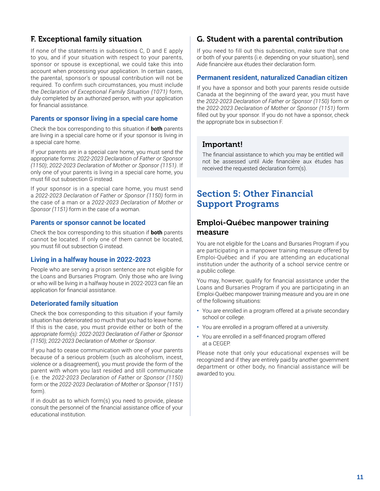# <span id="page-14-0"></span>F. Exceptional family situation

If none of the statements in subsections C, D and E apply to you, and if your situation with respect to your parents, sponsor or spouse is exceptional, we could take this into account when processing your application. In certain cases, the parental, sponsor's or spousal contribution will not be required. To confirm such circumstances, you must include the *Declaration of Exceptional Family Situation (1071)* form, duly completed by an authorized person, with your application for financial assistance.

#### **Parents or sponsor living in a special care home**

Check the box corresponding to this situation if **both** parents are living in a special care home or if your sponsor is living in a special care home.

If your parents are in a special care home, you must send the appropriate forms: *2022-2023 Declaration of Father or Sponsor (1150)*; *2022-2023 Declaration of Mother or Sponsor (1151)*. If only one of your parents is living in a special care home, you must fill out subsection G instead.

If your sponsor is in a special care home, you must send a *2022-2023 Declaration of Father or Sponsor (1150)* form in the case of a man or a *2022-2023 Declaration of Mother or Sponsor (1151)* form in the case of a woman.

#### **Parents or sponsor cannot be located**

Check the box corresponding to this situation if **both** parents cannot be located. If only one of them cannot be located, you must fill out subsection G instead.

#### **Living in a halfway house in 2022-2023**

People who are serving a prison sentence are not eligible for the Loans and Bursaries Program. Only those who are living or who will be living in a halfway house in 2022-2023 can file an application for financial assistance.

#### **Deteriorated family situation**

Check the box corresponding to this situation if your family situation has deteriorated so much that you had to leave home. If this is the case, you must provide either or both of the *appropriate form(s): 2022-2023 Declaration of Father or Sponsor (1150); 2022-2023 Declaration of Mother or Sponsor*.

If you had to cease communication with one of your parents because of a serious problem (such as alcoholism, incest, violence or a disagreement), you must provide the form of the parent with whom you last resided and still communicate (i.e. the *2022-2023 Declaration of Father or Sponsor (1150)* form or the *2022-2023 Declaration of Mother or Sponsor (1151)* form).

If in doubt as to which form(s) you need to provide, please consult the personnel of the financial assistance office of your educational institution.

# G. Student with a parental contribution

If you need to fill out this subsection, make sure that one or both of your parents (i.e. depending on your situation), send Aide financière aux études their declaration form.

#### **Permanent resident, naturalized Canadian citizen**

If you have a sponsor and both your parents reside outside Canada at the beginning of the award year, you must have the *2022-2023 Declaration of Father or Sponsor (1150)* form or the *2022-2023 Declaration of Mother or Sponsor (1151)* form filled out by your sponsor. If you do not have a sponsor, check the appropriate box in subsection F.

### Important!

The financial assistance to which you may be entitled will not be assessed until Aide financière aux études has received the requested declaration form(s).

# Section 5: Other Financial Support Programs

### Emploi-Québec manpower training measure

You are not eligible for the Loans and Bursaries Program if you are participating in a manpower training measure offered by Emploi-Québec and if you are attending an educational institution under the authority of a school service centre or a public college.

You may, however, qualify for financial assistance under the Loans and Bursaries Program if you are participating in an Emploi-Québec manpower training measure and you are in one of the following situations:

- **•** You are enrolled in a program offered at a private secondary school or college.
- **•** You are enrolled in a program offered at a university.
- **•** You are enrolled in a self-financed program offered at a CEGEP.

Please note that only your educational expenses will be recognized and if they are entirely paid by another government department or other body, no financial assistance will be awarded to you.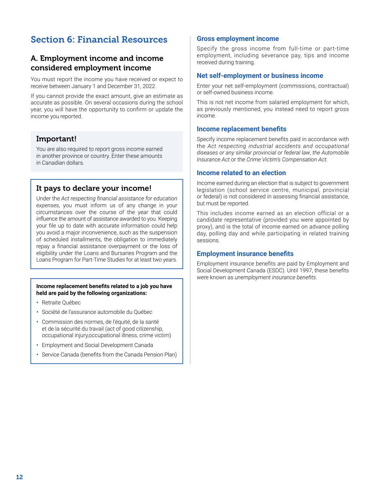# <span id="page-15-0"></span>Section 6: Financial Resources

# A. Employment income and income considered employment income

You must report the income you have received or expect to receive between January 1 and December 31, 2022.

If you cannot provide the exact amount, give an estimate as accurate as possible. On several occasions during the school year, you will have the opportunity to confirm or update the income you reported.

# Important!

You are also required to report gross income earned in another province or country. Enter these amounts in Canadian dollars.

## It pays to declare your income!

Under the *Act respecting financial assistance for education expenses*, you must inform us of any change in your circumstances over the course of the year that could influence the amount of assistance awarded to you. Keeping your file up to date with accurate information could help you avoid a major inconvenience, such as the suspension of scheduled installments, the obligation to immediately repay a financial assistance overpayment or the loss of eligibility under the Loans and Bursaries Program and the Loans Program for Part-Time Studies for at least two years.

#### **Income replacement benefits related to a job you have held are paid by the following organizations:**

- **•** Retraite Québec
- **•** Société de l'assurance automobile du Québec
- **•** Commission des normes, de l'équité, de la santé et de la sécurité du travail (act of good citizenship, occupational injury,occupational illness, crime victim)
- **•** Employment and Social Development Canada
- **•** Service Canada (benefits from the Canada Pension Plan)

#### **Gross employment income**

Specify the gross income from full-time or part-time employment, including severance pay, tips and income received during training.

#### **Net self-employment or business income**

Enter your net self-employment (commissions, contractual) or self-owned business income.

This is not net income from salaried employment for which, as previously mentioned, you instead need to report gross income.

#### **Income replacement benefits**

Specify income replacement benefits paid in accordance with the *Act respecting industrial accidents and occupational diseases or any similar provincial or federal law*, *the Automobile Insurance Act* or the *Crime Victim's Compensation Act*.

#### **Income related to an election**

Income earned during an election that is subject to government legislation (school service centre, municipal, provincial or federal) is not considered in assessing financial assistance, but must be reported.

This includes income earned as an election official or a candidate representative (provided you were appointed by proxy), and is the total of income earned on advance polling day, polling day and while participating in related training sessions.

#### **Employment insurance benefits**

Employment insurance benefits are paid by Employment and Social Development Canada (ESDC). Until 1997, these benefits were known as *unemployment insurance benefits*.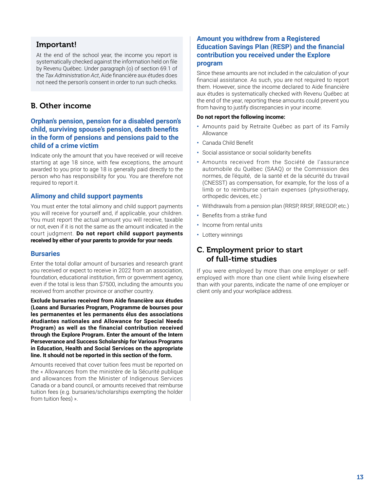# Important!

At the end of the school year, the income you report is systematically checked against the information held on file by Revenu Québec. Under paragraph (o) of section 69.1 of the *Tax Administration Act*, Aide financière aux études does not need the person's consent in order to run such checks.

### B. Other income

#### **Orphan's pension, pension for a disabled person's child, surviving spouse's pension, death benefits in the form of pensions and pensions paid to the child of a crime victim**

Indicate only the amount that you have received or will receive starting at age 18 since, with few exceptions, the amount awarded to you prior to age 18 is generally paid directly to the person who has responsibility for you. You are therefore not required to report it.

#### **Alimony and child support payments**

You must enter the total alimony and child support payments you will receive for yourself and, if applicable, your children. You must report the actual amount you will receive, taxable or not, even if it is not the same as the amount indicated in the court judgment. **Do not report child support payments received by either of your parents to provide for your needs**.

#### **Bursaries**

Enter the total dollar amount of bursaries and research grant you received or expect to receive in 2022 from an association, foundation, educational institution, firm or government agency, even if the total is less than \$7500, including the amounts you received from another province or another country.

**Exclude bursaries received from Aide financière aux études (Loans and Bursaries Program, Programme de bourses pour les permanentes et les permanents élus des associations étudiantes nationales and Allowance for Special Needs Program) as well as the financial contribution received through the Explore Program. Enter the amount of the Intern Perseverance and Success Scholarship for Various Programs in Education, Health and Social Services on the appropriate line. It should not be reported in this section of the form.**

Amounts received that cover tuition fees must be reported on the « Allowances from the ministère de la Sécurité publique and allowances from the Minister of Indigenous Services Canada or a band council, or amounts received that reimburse tuition fees (e.g. bursaries/scholarships exempting the holder from tuition fees) ».

#### **Amount you withdrew from a Registered Education Savings Plan (RESP) and the financial contribution you received under the Explore program**

Since these amounts are not included in the calculation of your financial assistance. As such, you are not required to report them. However, since the income declared to Aide financière aux études is systematically checked with Revenu Québec at the end of the year, reporting these amounts could prevent you from having to justify discrepancies in your income.

#### **Do not report the following income:**

- **•** Amounts paid by Retraite Québec as part of its Family Allowance
- **•** Canada Child Benefit
- **•** Social assistance or social solidarity benefits
- **•** Amounts received from the Société de l'assurance automobile du Québec (SAAQ) or the Commission des normes, de l'équité, de la santé et de la sécurité du travail (CNESST) as compensation, for example, for the loss of a limb or to reimburse certain expenses (physiotherapy, orthopedic devices, etc.)
- **•** Withdrawals from a pension plan (RRSP, RRSF, RREGOP, etc.)
- **•** Benefits from a strike fund
- **•** Income from rental units
- **•** Lottery winnings

# C. Employment prior to start of full-time studies

If you were employed by more than one employer or selfemployed with more than one client while living elsewhere than with your parents, indicate the name of one employer or client only and your workplace address.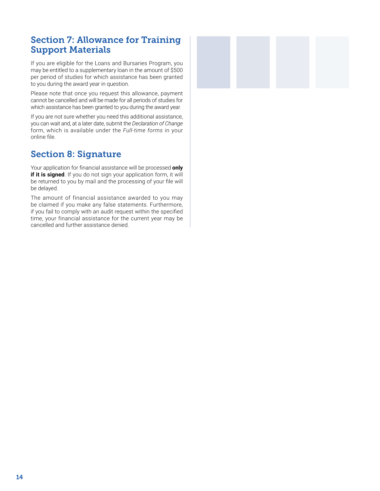# <span id="page-17-0"></span>Section 7: Allowance for Training Support Materials

If you are eligible for the Loans and Bursaries Program, you may be entitled to a supplementary loan in the amount of \$500 per period of studies for which assistance has been granted to you during the award year in question.

Please note that once you request this allowance, payment cannot be cancelled and will be made for all periods of studies for which assistance has been granted to you during the award year.

If you are not sure whether you need this additional assistance, you can wait and, at a later date, submit the *Declaration of Change*  form, which is available under the *Full-time forms* in your online file.

# Section 8: Signature

Your application for financial assistance will be processed **only if it is signed**. If you do not sign your application form, it will be returned to you by mail and the processing of your file will be delayed.

The amount of financial assistance awarded to you may be claimed if you make any false statements. Furthermore, if you fail to comply with an audit request within the specified time, your financial assistance for the current year may be cancelled and further assistance denied.

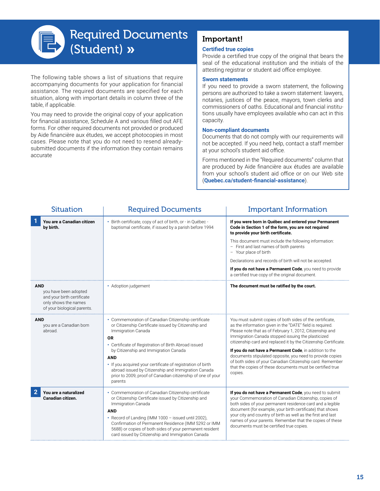<span id="page-18-0"></span>

The following table shows a list of situations that require accompanying documents for your application for financial assistance. The required documents are specified for each situation, along with important details in column three of the table, if applicable.

You may need to provide the original copy of your application for financial assistance, Schedule A and various filled out AFE forms. For other required documents not provided or produced by Aide financière aux études, we accept photocopies in most cases. Please note that you do not need to resend alreadysubmitted documents if the information they contain remains accurate

# Important!

#### **Certified true copies**

Provide a certified true copy of the original that bears the seal of the educational institution and the initials of the attesting registrar or student aid office employee.

#### **Sworn statements**

If you need to provide a sworn statement, the following persons are authorized to take a sworn statement: lawyers, notaries, justices of the peace, mayors, town clerks and commissioners of oaths. Educational and financial institutions usually have employees available who can act in this capacity.

#### **Non-compliant documents**

Documents that do not comply with our requirements will not be accepted. If you need help, contact a staff member at your school's student aid office.

Forms mentioned in the "Required documents" column that are produced by Aide financière aux études are available from your school's student aid office or on our Web site (**[Quebec.ca/student-financial-assistance](http://Quebec.ca/student-financial-assistance)**).

| <b>Situation</b>                                                                                                         | <b>Required Documents</b>                                                                                                                                                                                                                                                                                                                                                                                                                              | <b>Important Information</b>                                                                                                                                                                                                                                                                                                                                                                                                                                                                                                                                             |
|--------------------------------------------------------------------------------------------------------------------------|--------------------------------------------------------------------------------------------------------------------------------------------------------------------------------------------------------------------------------------------------------------------------------------------------------------------------------------------------------------------------------------------------------------------------------------------------------|--------------------------------------------------------------------------------------------------------------------------------------------------------------------------------------------------------------------------------------------------------------------------------------------------------------------------------------------------------------------------------------------------------------------------------------------------------------------------------------------------------------------------------------------------------------------------|
| You are a Canadian citizen<br>by birth.                                                                                  | Birth certificate, copy of act of birth, or - in Québec -<br>baptismal certificate, if issued by a parish before 1994                                                                                                                                                                                                                                                                                                                                  | If you were born in Québec and entered your Permanent<br>Code in Section 1 of the form, you are not required<br>to provide your birth certificate.                                                                                                                                                                                                                                                                                                                                                                                                                       |
|                                                                                                                          |                                                                                                                                                                                                                                                                                                                                                                                                                                                        | This document must include the following information:<br>- First and last names of both parents<br>- Your place of birth                                                                                                                                                                                                                                                                                                                                                                                                                                                 |
|                                                                                                                          |                                                                                                                                                                                                                                                                                                                                                                                                                                                        | Declarations and records of birth will not be accepted.                                                                                                                                                                                                                                                                                                                                                                                                                                                                                                                  |
|                                                                                                                          |                                                                                                                                                                                                                                                                                                                                                                                                                                                        | If you do not have a Permanent Code, you need to provide<br>a certified true copy of the original document.                                                                                                                                                                                                                                                                                                                                                                                                                                                              |
| <b>AND</b><br>you have been adopted<br>and your birth certificate<br>only shows the names<br>of your biological parents. | • Adoption judgement                                                                                                                                                                                                                                                                                                                                                                                                                                   | The document must be ratified by the court.                                                                                                                                                                                                                                                                                                                                                                                                                                                                                                                              |
| <b>AND</b><br>you are a Canadian born<br>abroad.                                                                         | • Commemoration of Canadian Citizenship certificate<br>or Citizenship Certificate issued by Citizenship and<br>Immigration Canada<br>0R<br>• Certificate of Registration of Birth Abroad issued<br>by Citizenship and Immigration Canada<br><b>AND</b><br>• If you acquired your certificate of registration of birth<br>abroad issued by Citizenship and Immigration Canada<br>prior to 2009, proof of Canadian citizenship of one of your<br>parents | You must submit copies of both sides of the certificate,<br>as the information given in the "DATE" field is required.<br>Please note that as of February 1, 2012, Citizenship and<br>Immigration Canada stopped issuing the plasticized<br>citizenship card and replaced it by the Citizenship Certificate.<br>If you do not have a Permanent Code, in addition to the<br>documents stipulated opposite, you need to provide copies<br>of both sides of your Canadian Citizenship card. Remember<br>that the copies of these documents must be certified true<br>copies. |
| $\overline{2}$<br>You are a naturalized<br>Canadian citizen.                                                             | • Commemoration of Canadian Citizenship certificate<br>or Citizenship Certificate issued by Citizenship and<br>Immigration Canada<br><b>AND</b><br>• Record of Landing (IMM 1000 - issued until 2002),<br>Confirmation of Permanent Residence (IMM 5292 or IMM<br>5688) or copies of both sides of your permanent resident<br>card issued by Citizenship and Immigration Canada                                                                        | If you do not have a Permanent Code, you need to submit<br>your Commemoration of Canadian Citizenship, copies of<br>both sides of your permanent residence card and a legible<br>document (for example, your birth certificate) that shows<br>your city and country of birth as well as the first and last<br>names of your parents. Remember that the copies of these<br>documents must be certified true copies.                                                                                                                                                       |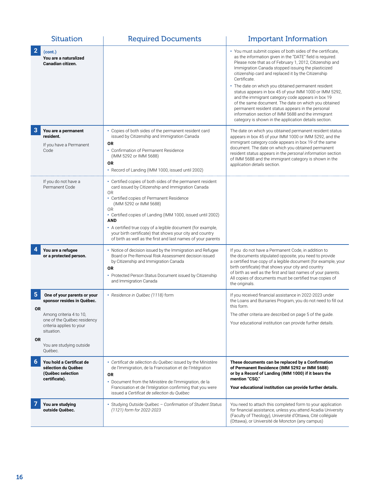|                             | <b>Situation</b>                                                                                                                                              | <b>Required Documents</b>                                                                                                                                                                                                                                                                                                                                                                                                                                                                          | <b>Important Information</b>                                                                                                                                                                                                                                                                                                                                                                                                                                                                                                                                                                                                                                                                                      |
|-----------------------------|---------------------------------------------------------------------------------------------------------------------------------------------------------------|----------------------------------------------------------------------------------------------------------------------------------------------------------------------------------------------------------------------------------------------------------------------------------------------------------------------------------------------------------------------------------------------------------------------------------------------------------------------------------------------------|-------------------------------------------------------------------------------------------------------------------------------------------------------------------------------------------------------------------------------------------------------------------------------------------------------------------------------------------------------------------------------------------------------------------------------------------------------------------------------------------------------------------------------------------------------------------------------------------------------------------------------------------------------------------------------------------------------------------|
| $\overline{2}$              | (cont.)<br>You are a naturalized<br>Canadian citizen.                                                                                                         |                                                                                                                                                                                                                                                                                                                                                                                                                                                                                                    | • You must submit copies of both sides of the certificate,<br>as the information given in the "DATE" field is required.<br>Please note that as of February 1, 2012, Citizenship and<br>Immigration Canada stopped issuing the plasticized<br>citizenship card and replaced it by the Citizenship<br>Certificate.<br>• The date on which you obtained permanent resident<br>status appears in box 45 of your IMM 1000 or IMM 5292,<br>and the immigrant category code appears in box 19<br>of the same document. The date on which you obtained<br>permanent resident status appears in the personal<br>information section of IMM 5688 and the immigrant<br>category is shown in the application details section. |
| 3                           | You are a permanent<br>resident.<br>If you have a Permanent<br>Code                                                                                           | • Copies of both sides of the permanent resident card<br>issued by Citizenship and Immigration Canada<br><b>OR</b><br>• Confirmation of Permanent Residence<br>(IMM 5292 or IMM 5688)<br>0R<br>• Record of Landing (IMM 1000, issued until 2002)                                                                                                                                                                                                                                                   | The date on which you obtained permanent resident status<br>appears in box 45 of your IMM 1000 or IMM 5292, and the<br>immigrant category code appears in box 19 of the same<br>document. The date on which you obtained permanent<br>resident status appears in the personal information section<br>of IMM 5688 and the immigrant category is shown in the<br>application details section.                                                                                                                                                                                                                                                                                                                       |
|                             | If you do not have a<br>Permanent Code                                                                                                                        | • Certified copies of both sides of the permanent resident<br>card issued by Citizenship and Immigration Canada<br>0 <sub>R</sub><br>• Certified copies of Permanent Residence<br>(IMM 5292 or IMM 5688)<br>0 <sub>R</sub><br>• Certified copies of Landing (IMM 1000, issued until 2002)<br><b>AND</b><br>• A certified true copy of a legible document (for example,<br>your birth certificate) that shows your city and country<br>of birth as well as the first and last names of your parents |                                                                                                                                                                                                                                                                                                                                                                                                                                                                                                                                                                                                                                                                                                                   |
| 4                           | You are a refugee<br>or a protected person.                                                                                                                   | • Notice of decision issued by the Immigration and Refugee<br>Board or Pre-Removal Risk Assessment decision issued<br>by Citizenship and Immigration Canada<br>0R<br>• Protected Person Status Document issued by Citizenship<br>and Immigration Canada                                                                                                                                                                                                                                            | If you do not have a Permanent Code, in addition to<br>the documents stipulated opposite, you need to provide<br>a certified true copy of a legible document (for example, your<br>birth certificate) that shows your city and country<br>of birth as well as the first and last names of your parents.<br>All copies of documents must be certified true copies of<br>the originals.                                                                                                                                                                                                                                                                                                                             |
| 5<br><b>OR</b><br><b>OR</b> | One of your parents or your<br>sponsor resides in Québec.<br>Among criteria 4 to 10,<br>one of the Québec residency<br>criteria applies to your<br>situation. | · Residence in Québec (1118) form                                                                                                                                                                                                                                                                                                                                                                                                                                                                  | If you received financial assistance in 2022-2023 under<br>the Loans and Bursaries Program, you do not need to fill out<br>this form.<br>The other criteria are described on page 5 of the guide.<br>Your educational institution can provide further details.                                                                                                                                                                                                                                                                                                                                                                                                                                                    |
|                             | You are studying outside<br>Québec.                                                                                                                           |                                                                                                                                                                                                                                                                                                                                                                                                                                                                                                    |                                                                                                                                                                                                                                                                                                                                                                                                                                                                                                                                                                                                                                                                                                                   |
| 6                           | You hold a Certificat de<br>sélection du Québec<br>(Ouébec selection<br>certificate).                                                                         | • Certificat de sélection du Québec issued by the Ministère<br>de l'Immigration, de la Francisation et de l'Intégration<br>0R<br>• Document from the Ministère de l'Immigration, de la<br>Francisation et de l'Intégration confirming that you were<br>issued a Certificat de sélection du Québec                                                                                                                                                                                                  | These documents can be replaced by a Confirmation<br>of Permanent Residence (IMM 5292 or IMM 5688)<br>or by a Record of Landing (IMM 1000) if it bears the<br>mention "CSQ."<br>Your educational institution can provide further details.                                                                                                                                                                                                                                                                                                                                                                                                                                                                         |
|                             | You are studying<br>outside Québec.                                                                                                                           | Studying Outside Québec - Confirmation of Student Status<br>٠<br>(1121) form for 2022-2023                                                                                                                                                                                                                                                                                                                                                                                                         | You need to attach this completed form to your application<br>for financial assistance, unless you attend Acadia University<br>(Faculty of Theology), Université d'Ottawa, Cité collégiale<br>(Ottawa), or Université de Moncton (any campus)                                                                                                                                                                                                                                                                                                                                                                                                                                                                     |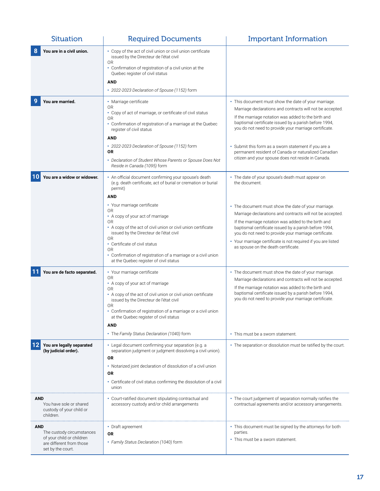| <b>Situation</b>                                                                                                      | <b>Required Documents</b>                                                                                                                                                                                                                                                                                                                                                                                                                                                                                      | <b>Important Information</b>                                                                                                                                                                                                                                                                                                                                                                                                                                           |
|-----------------------------------------------------------------------------------------------------------------------|----------------------------------------------------------------------------------------------------------------------------------------------------------------------------------------------------------------------------------------------------------------------------------------------------------------------------------------------------------------------------------------------------------------------------------------------------------------------------------------------------------------|------------------------------------------------------------------------------------------------------------------------------------------------------------------------------------------------------------------------------------------------------------------------------------------------------------------------------------------------------------------------------------------------------------------------------------------------------------------------|
| You are in a civil union.                                                                                             | • Copy of the act of civil union or civil union certificate<br>issued by the Directeur de l'état civil<br>0R<br>• Confirmation of registration of a civil union at the<br>Quebec register of civil status<br>AND<br>• 2022-2023 Declaration of Spouse (1152) form                                                                                                                                                                                                                                              |                                                                                                                                                                                                                                                                                                                                                                                                                                                                        |
| You are married.                                                                                                      | • Marriage certificate<br>0R<br>• Copy of act of marriage, or certificate of civil status<br>0R<br>• Confirmation of registration of a marriage at the Quebec<br>register of civil status<br><b>AND</b><br>• 2022-2023 Declaration of Spouse (1152) form<br>0R<br>• Declaration of Student Whose Parents or Spouse Does Not<br>Reside in Canada (1095) form                                                                                                                                                    | • This document must show the date of your marriage.<br>Marriage declarations and contracts will not be accepted.<br>If the marriage notation was added to the birth and<br>baptismal certificate issued by a parish before 1994,<br>you do not need to provide your marriage certificate.<br>• Submit this form as a sworn statement if you are a<br>permanent resident of Canada or naturalized Canadian<br>citizen and your spouse does not reside in Canada.       |
| You are a widow or widower.                                                                                           | • An official document confirming your spouse's death<br>(e.g. death certificate, act of burial or cremation or burial<br>permit)<br><b>AND</b><br>• Your marriage certificate<br>0R<br>• A copy of your act of marriage<br>0 <sub>R</sub><br>• A copy of the act of civil union or civil union certificate<br>issued by the Directeur de l'état civil<br>0R<br>• Certificate of civil status<br>0R<br>• Confirmation of registration of a marriage or a civil union<br>at the Quebec register of civil status | • The date of your spouse's death must appear on<br>the document.<br>• The document must show the date of your marriage.<br>Marriage declarations and contracts will not be accepted.<br>If the marriage notation was added to the birth and<br>baptismal certificate issued by a parish before 1994,<br>you do not need to provide your marriage certificate.<br>• Your marriage certificate is not required if you are listed<br>as spouse on the death certificate. |
| You are de facto separated.                                                                                           | • Your marriage certificate<br>0R<br>• A copy of your act of marriage<br>0R<br>• A copy of the act of civil union or civil union certificate<br>issued by the Directeur de l'état civil<br>0R<br>Confirmation of registration of a marriage or a civil union<br>at the Quebec register of civil status<br>AND<br>• The Family Status Declaration (1040) form                                                                                                                                                   | • The document must show the date of your marriage.<br>Marriage declarations and contracts will not be accepted.<br>If the marriage notation was added to the birth and<br>baptismal certificate issued by a parish before 1994,<br>you do not need to provide your marriage certificate.<br>• This must be a sworn statement.                                                                                                                                         |
| You are legally separated<br>(by judicial order).                                                                     | • Legal document confirming your separation (e.g. a<br>separation judgment or judgment dissolving a civil union).<br>ΟR<br>• Notarized joint declaration of dissolution of a civil union<br>ΟR<br>Certificate of civil status confirming the dissolution of a civil<br>union                                                                                                                                                                                                                                   | • The separation or dissolution must be ratified by the court.                                                                                                                                                                                                                                                                                                                                                                                                         |
| AND<br>You have sole or shared<br>custody of your child or<br>children.                                               | Court-ratified document stipulating contractual and<br>accessory custody and/or child arrangements                                                                                                                                                                                                                                                                                                                                                                                                             | • The court judgement of separation normally ratifies the<br>contractual agreements and/or accessory arrangements.                                                                                                                                                                                                                                                                                                                                                     |
| <b>AND</b><br>The custody circumstances<br>of your child or children<br>are different from those<br>set by the court. | • Draft agreement<br>0R<br>• Family Status Declaration (1040) form                                                                                                                                                                                                                                                                                                                                                                                                                                             | • This document must be signed by the attorneys for both<br>parties.<br>• This must be a sworn statement.                                                                                                                                                                                                                                                                                                                                                              |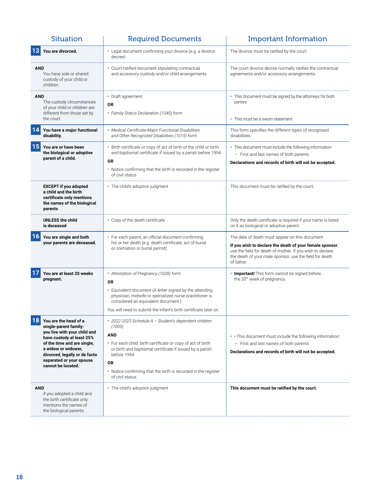|            | <b>Situation</b>                                                                                                                                                                                                                                     | <b>Required Documents</b>                                                                                                                                                                                                                                                                                                 | <b>Important Information</b>                                                                                                                                                                                                                      |
|------------|------------------------------------------------------------------------------------------------------------------------------------------------------------------------------------------------------------------------------------------------------|---------------------------------------------------------------------------------------------------------------------------------------------------------------------------------------------------------------------------------------------------------------------------------------------------------------------------|---------------------------------------------------------------------------------------------------------------------------------------------------------------------------------------------------------------------------------------------------|
|            | You are divorced.                                                                                                                                                                                                                                    | • Legal document confirming your divorce (e.g. a divorce<br>decree)                                                                                                                                                                                                                                                       | The divorce must be ratified by the court.                                                                                                                                                                                                        |
| <b>AND</b> | You have sole or shared<br>custody of your child or<br>children.                                                                                                                                                                                     | Court-ratified document stipulating contractual<br>and accessory custody and/or child arrangements                                                                                                                                                                                                                        | The court divorce decree normally ratifies the contractual<br>agreements and/or accessory arrangements.                                                                                                                                           |
| <b>AND</b> | The custody circumstances<br>of your child or children are<br>different from those set by<br>the court.                                                                                                                                              | • Draft agreement<br>0R<br>• Family Status Declaration (1040) form                                                                                                                                                                                                                                                        | • This document must be signed by the attorneys for both<br>parties.<br>• This must be a sworn statement.                                                                                                                                         |
|            | You have a major functional<br>disability.                                                                                                                                                                                                           | Medical Certificate-Major Functional Disabilities<br>and Other Recognized Disabilities (1015) form                                                                                                                                                                                                                        | This form specifies the different types of recognized<br>disabilities.                                                                                                                                                                            |
| 15         | You are or have been<br>the biological or adoptive<br>parent of a child.                                                                                                                                                                             | Birth certificate or copy of act of birth of the child or birth<br>and baptismal certificate if issued by a parish before 1994<br>OR<br>• Notice confirming that the birth is recorded in the register<br>of civil status                                                                                                 | • This document must include the following information:<br>- First and last names of both parents<br>Declarations and records of birth will not be accepted.                                                                                      |
|            | <b>EXCEPT if you adopted</b><br>a child and the birth<br>certificate only mentions<br>the names of the biological<br>parents                                                                                                                         | • The child's adoption judgment                                                                                                                                                                                                                                                                                           | This document must be ratified by the court.                                                                                                                                                                                                      |
|            | <b>UNLESS the child</b><br>is deceased                                                                                                                                                                                                               | • Copy of the death certificate                                                                                                                                                                                                                                                                                           | Only the death certificate is required if your name is listed<br>on it as biological or adoptive parent.                                                                                                                                          |
| 16         | You are single and both<br>your parents are deceased.                                                                                                                                                                                                | For each parent, an official document confirming<br>his or her death (e.g. death certificate, act of burial<br>or cremation or burial permit)                                                                                                                                                                             | The date of death must appear on this document.<br>If you wish to declare the death of your female sponsor,<br>use the field for death of mother. If you wish to declare<br>the death of your male sponsor, use the field for death<br>of father. |
|            | You are at least 20 weeks<br>pregnant.                                                                                                                                                                                                               | • Attestation of Pregnancy (1028) form<br><b>OR</b><br>• Equivalent document (A letter signed by the attending<br>physician, midwife or specialized nurse practitioner is<br>considered an equivalent document.)<br>You will need to submit the infant's birth certificate later on.                                      | . Important! This form cannot be signed before<br>the 20 <sup>th</sup> week of pregnancy.                                                                                                                                                         |
|            | You are the head of a<br>single-parent family:<br>you live with your child and<br>have custody at least 25%<br>of the time and are single,<br>a widow or widower,<br>divorced, legally or de facto<br>separated or your spouse<br>cannot be located. | · 2022-2023 Schedule A - Student's dependent children<br>(1005)<br><b>AND</b><br>• For each child: birth certificate or copy of act of birth<br>or birth and baptismal certificate if issued by a parish<br>before 1994<br><b>OR</b><br>• Notice confirming that the birth is recorded in the register<br>of civil status | . This document must include the following information:<br>- First and last names of both parents<br>Declarations and records of birth will not be accepted.                                                                                      |
| <b>AND</b> | if you adopted a child and<br>the birth certificate only<br>mentions the names of<br>the biological parents                                                                                                                                          | • The child's adoption judgment                                                                                                                                                                                                                                                                                           | This document must be ratified by the court.                                                                                                                                                                                                      |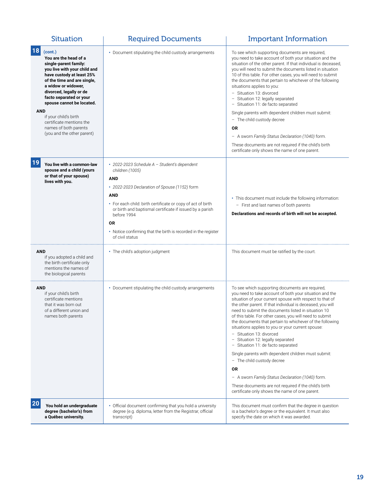| <b>Situation</b>                                                                                                                                                                                                                                                                                                                                                                                | <b>Required Documents</b>                                                                                                                                                                                                                                                                                                                                                       | <b>Important Information</b>                                                                                                                                                                                                                                                                                                                                                                                                                                                                                                                                                                                                                                                                                                                                                                                                             |
|-------------------------------------------------------------------------------------------------------------------------------------------------------------------------------------------------------------------------------------------------------------------------------------------------------------------------------------------------------------------------------------------------|---------------------------------------------------------------------------------------------------------------------------------------------------------------------------------------------------------------------------------------------------------------------------------------------------------------------------------------------------------------------------------|------------------------------------------------------------------------------------------------------------------------------------------------------------------------------------------------------------------------------------------------------------------------------------------------------------------------------------------------------------------------------------------------------------------------------------------------------------------------------------------------------------------------------------------------------------------------------------------------------------------------------------------------------------------------------------------------------------------------------------------------------------------------------------------------------------------------------------------|
| 18<br>(cont.)<br>You are the head of a<br>single-parent family:<br>you live with your child and<br>have custody at least 25%<br>of the time and are single,<br>a widow or widower,<br>divorced, legally or de<br>facto separated or your<br>spouse cannot be located.<br><b>AND</b><br>if your child's birth<br>certificate mentions the<br>names of both parents<br>(you and the other parent) | Document stipulating the child custody arrangements                                                                                                                                                                                                                                                                                                                             | To see which supporting documents are required,<br>you need to take account of both your situation and the<br>situation of the other parent. If that individual is deceased,<br>you will need to submit the documents listed in situation<br>10 of this table. For other cases, you will need to submit<br>the documents that pertain to whichever of the following<br>situations applies to you:<br>- Situation 13: divorced<br>- Situation 12: legally separated<br>- Situation 11: de facto separated<br>Single parents with dependent children must submit:<br>- The child custody decree<br>0R<br>- A sworn Family Status Declaration (1040) form.<br>These documents are not required if the child's birth<br>certificate only shows the name of one parent.                                                                       |
| 19<br>You live with a common-law<br>spouse and a child (yours<br>or that of your spouse)<br>lives with you.                                                                                                                                                                                                                                                                                     | 2022-2023 Schedule A - Student's dependent<br>children (1005)<br><b>AND</b><br>• 2022-2023 Declaration of Spouse (1152) form<br><b>AND</b><br>• For each child: birth certificate or copy of act of birth<br>or birth and baptismal certificate if issued by a parish<br>before 1994<br>0R<br>• Notice confirming that the birth is recorded in the register<br>of civil status | • This document must include the following information:<br>- First and last names of both parents<br>Declarations and records of birth will not be accepted.                                                                                                                                                                                                                                                                                                                                                                                                                                                                                                                                                                                                                                                                             |
| <b>AND</b><br>if you adopted a child and<br>the birth certificate only<br>mentions the names of<br>the biological parents                                                                                                                                                                                                                                                                       | • The child's adoption judgment                                                                                                                                                                                                                                                                                                                                                 | This document must be ratified by the court.                                                                                                                                                                                                                                                                                                                                                                                                                                                                                                                                                                                                                                                                                                                                                                                             |
| <b>AND</b><br>if your child's birth<br>certificate mentions<br>that it was born out<br>of a different union and<br>names both parents                                                                                                                                                                                                                                                           | • Document stipulating the child custody arrangements                                                                                                                                                                                                                                                                                                                           | To see which supporting documents are required,<br>you need to take account of both your situation and the<br>situation of your current spouse with respect to that of<br>the other parent. If that individual is deceased, you will<br>need to submit the documents listed in situation 10<br>of this table. For other cases, you will need to submit<br>the documents that pertain to whichever of the following<br>situations applies to you or your current spouse:<br>- Situation 13: divorced<br>- Situation 12: legally separated<br>- Situation 11: de facto separated<br>Single parents with dependent children must submit:<br>- The child custody decree<br>0R<br>- A sworn Family Status Declaration (1040) form.<br>These documents are not required if the child's birth<br>certificate only shows the name of one parent. |
| 20<br>You hold an undergraduate<br>degree (bachelor's) from<br>a Québec university.                                                                                                                                                                                                                                                                                                             | Official document confirming that you hold a university<br>degree (e.g. diploma, letter from the Registrar, official<br>transcript)                                                                                                                                                                                                                                             | This document must confirm that the degree in question<br>is a bachelor's degree or the equivalent. It must also<br>specify the date on which it was awarded.                                                                                                                                                                                                                                                                                                                                                                                                                                                                                                                                                                                                                                                                            |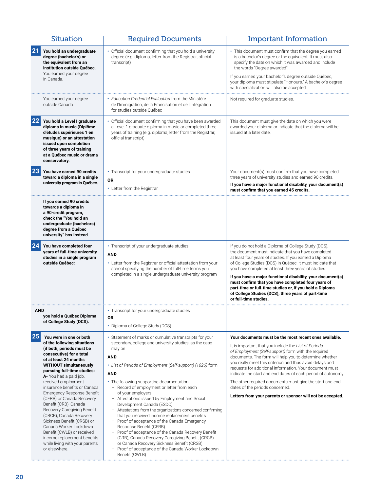| <b>Situation</b>                                                                                                                                                                                                                                                                                                                                                                                                                                                                                                                                                                                                      | <b>Required Documents</b>                                                                                                                                                                                                                                                                                                                                                                                                                                                                                                                                                                                                                                                                                                                                                                                                                                                | <b>Important Information</b>                                                                                                                                                                                                                                                                                                                                                                                                                                                                                                                                                        |
|-----------------------------------------------------------------------------------------------------------------------------------------------------------------------------------------------------------------------------------------------------------------------------------------------------------------------------------------------------------------------------------------------------------------------------------------------------------------------------------------------------------------------------------------------------------------------------------------------------------------------|--------------------------------------------------------------------------------------------------------------------------------------------------------------------------------------------------------------------------------------------------------------------------------------------------------------------------------------------------------------------------------------------------------------------------------------------------------------------------------------------------------------------------------------------------------------------------------------------------------------------------------------------------------------------------------------------------------------------------------------------------------------------------------------------------------------------------------------------------------------------------|-------------------------------------------------------------------------------------------------------------------------------------------------------------------------------------------------------------------------------------------------------------------------------------------------------------------------------------------------------------------------------------------------------------------------------------------------------------------------------------------------------------------------------------------------------------------------------------|
| 21<br>You hold an undergraduate<br>degree (bachelor's) or<br>the equivalent from an<br>institution outside Québec.                                                                                                                                                                                                                                                                                                                                                                                                                                                                                                    | Official document confirming that you hold a university<br>degree (e.g. diploma, letter from the Registrar, official<br>transcript)                                                                                                                                                                                                                                                                                                                                                                                                                                                                                                                                                                                                                                                                                                                                      | • This document must confirm that the degree you earned<br>is a bachelor's degree or the equivalent. It must also<br>specify the date on which it was awarded and include<br>the words "Degree awarded".                                                                                                                                                                                                                                                                                                                                                                            |
| You earned your degree<br>in Canada.                                                                                                                                                                                                                                                                                                                                                                                                                                                                                                                                                                                  |                                                                                                                                                                                                                                                                                                                                                                                                                                                                                                                                                                                                                                                                                                                                                                                                                                                                          | If you earned your bachelor's degree outside Québec,<br>your diploma must stipulate "Honours." A bachelor's degree<br>with specialization will also be accepted.                                                                                                                                                                                                                                                                                                                                                                                                                    |
| You earned your degree<br>outside Canada.                                                                                                                                                                                                                                                                                                                                                                                                                                                                                                                                                                             | • Education Credential Evaluation from the Ministère<br>de l'Immigration, de la Francisation et de l'Intégration<br>for studies outside Québec                                                                                                                                                                                                                                                                                                                                                                                                                                                                                                                                                                                                                                                                                                                           | Not required for graduate studies.                                                                                                                                                                                                                                                                                                                                                                                                                                                                                                                                                  |
| 22<br>You hold a Level I graduate<br>diploma in music (Diplôme<br>d'études supérieures 1 en<br>musique) or an attestation<br>issued upon completion<br>of three years of training<br>at a Québec music or drama<br>conservatory.                                                                                                                                                                                                                                                                                                                                                                                      | Official document confirming that you have been awarded<br>a Level 1 graduate diploma in music or completed three<br>years of training (e.g. diploma, letter from the Registrar,<br>official transcript)                                                                                                                                                                                                                                                                                                                                                                                                                                                                                                                                                                                                                                                                 | This document must give the date on which you were<br>awarded your diploma or indicate that the diploma will be<br>issued at a later date.                                                                                                                                                                                                                                                                                                                                                                                                                                          |
| 23<br>You have earned 90 credits<br>toward a diploma in a single<br>university program in Québec.                                                                                                                                                                                                                                                                                                                                                                                                                                                                                                                     | • Transcript for your undergraduate studies<br><b>OR</b><br>• Letter from the Registrar                                                                                                                                                                                                                                                                                                                                                                                                                                                                                                                                                                                                                                                                                                                                                                                  | Your document(s) must confirm that you have completed<br>three years of university studies and earned 90 credits.<br>If you have a major functional disability, your document(s)<br>must confirm that you earned 45 credits.                                                                                                                                                                                                                                                                                                                                                        |
| If you earned 90 credits<br>towards a diploma in<br>a 90-credit program,<br>check the "You hold an<br>undergraduate (bachelors)<br>degree from a Québec<br>university" box instead.                                                                                                                                                                                                                                                                                                                                                                                                                                   |                                                                                                                                                                                                                                                                                                                                                                                                                                                                                                                                                                                                                                                                                                                                                                                                                                                                          |                                                                                                                                                                                                                                                                                                                                                                                                                                                                                                                                                                                     |
| 24<br>You have completed four<br>years of full-time university<br>studies in a single program<br>outside Québec:                                                                                                                                                                                                                                                                                                                                                                                                                                                                                                      | • Transcript of your undergraduate studies<br><b>AND</b><br>• Letter from the Registrar or official attestation from your<br>school specifying the number of full-time terms you<br>completed in a single undergraduate university program                                                                                                                                                                                                                                                                                                                                                                                                                                                                                                                                                                                                                               | If you do not hold a Diploma of College Study (DCS),<br>the document must indicate that you have completed<br>at least four years of studies. If you earned a Diploma<br>of College Studies (DCS) in Québec, it must indicate that<br>you have completed at least three years of studies.<br>If you have a major functional disability, your document(s)<br>must confirm that you have completed four years of<br>part-time or full-time studies or, if you hold a Diploma<br>of College Studies (DCS), three years of part-time<br>or full-time studies.                           |
| AND<br>you hold a Québec Diploma<br>of College Study (DCS).                                                                                                                                                                                                                                                                                                                                                                                                                                                                                                                                                           | • Transcript for your undergraduate studies<br><b>OR</b><br>• Diploma of College Study (DCS)                                                                                                                                                                                                                                                                                                                                                                                                                                                                                                                                                                                                                                                                                                                                                                             |                                                                                                                                                                                                                                                                                                                                                                                                                                                                                                                                                                                     |
| 25<br>You were in one or both<br>of the following situations<br>(if both, periods must be<br>consecutive) for a total<br>of at least 24 months<br><b>WITHOUT simultaneously</b><br>pursuing full-time studies:<br>A- You had a paid job,<br>received employment<br>insurance benefits or Canada<br>Emergency Response Benefit<br>(CERB) or Canada Recovery<br>Benefit (CRB), Canada<br>Recovery Caregiving Benefit<br>(CRCB), Canada Recovery<br>Sickness Benefit (CRSB) or<br>Canada Worker Lockdown<br>Benefit (CWLB) or received<br>income replacement benefits<br>while living with your parents<br>or elsewhere. | Statement of marks or cumulative transcripts for your<br>secondary, college and university studies, as the case<br>may be<br><b>AND</b><br>• List of Periods of Employment (Self-support) (1026) form<br><b>AND</b><br>The following supporting documentation:<br>- Record of employment or letter from each<br>of your employers<br>- Attestations issued by Employment and Social<br>Development Canada (ESDC)<br>- Attestations from the organizations concerned confirming<br>that you received income replacement benefits<br>- Proof of acceptance of the Canada Emergency<br>Response Benefit (CERB)<br>- Proof of acceptance of the Canada Recovery Benefit<br>(CRB), Canada Recovery Caregiving Benefit (CRCB)<br>or Canada Recovery Sickness Benefit (CRSB)<br>Proof of acceptance of the Canada Worker Lockdown<br>$\overline{\phantom{a}}$<br>Benefit (CWLB) | Your documents must be the most recent ones available.<br>It is important that you include the List of Periods<br>of Employment (Self-support) form with the required<br>documents. The form will help you to determine whether<br>you really meet this criterion and thus avoid delays and<br>requests for additional information. Your document must<br>indicate the start and end dates of each period of autonomy.<br>The other required documents must give the start and end<br>dates of the periods concerned.<br>Letters from your parents or sponsor will not be accepted. |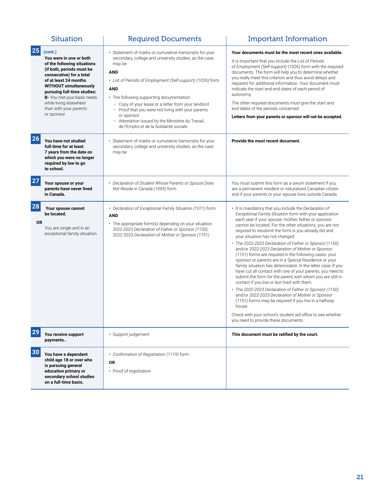|                 | <b>Situation</b>                                                                                                                                                                                                                                                                                                      | <b>Required Documents</b>                                                                                                                                                                                                                                                                                                                                                                                                                                                                   | <b>Important Information</b>                                                                                                                                                                                                                                                                                                                                                                                                                                                                                                                                                                                                                                                                                                                                                                                                                                                                                                                                                                                                                                                                           |
|-----------------|-----------------------------------------------------------------------------------------------------------------------------------------------------------------------------------------------------------------------------------------------------------------------------------------------------------------------|---------------------------------------------------------------------------------------------------------------------------------------------------------------------------------------------------------------------------------------------------------------------------------------------------------------------------------------------------------------------------------------------------------------------------------------------------------------------------------------------|--------------------------------------------------------------------------------------------------------------------------------------------------------------------------------------------------------------------------------------------------------------------------------------------------------------------------------------------------------------------------------------------------------------------------------------------------------------------------------------------------------------------------------------------------------------------------------------------------------------------------------------------------------------------------------------------------------------------------------------------------------------------------------------------------------------------------------------------------------------------------------------------------------------------------------------------------------------------------------------------------------------------------------------------------------------------------------------------------------|
| 25              | (cont.)<br>You were in one or both<br>of the following situations<br>(if both, periods must be<br>consecutive) for a total<br>of at least 24 months<br><b>WITHOUT simultaneously</b><br>pursuing full-time studies:<br>B- You met your basic needs<br>while living elsewhere<br>than with your parents<br>or sponsor. | Statement of marks or cumulative transcripts for your<br>secondary, college and university studies, as the case<br>may be<br><b>AND</b><br>• List of Periods of Employment (Self-support) (1026) form<br><b>AND</b><br>• The following supporting documentation:<br>- Copy of your lease or a letter from your landlord<br>- Proof that you were not living with your parents<br>or sponsor<br>- Attestation issued by the Ministère du Travail,<br>de l'Emploi et de la Solidarité sociale | Your documents must be the most recent ones available.<br>It is important that you include the List of Periods<br>of Employment (Self-support) (1026) form with the required<br>documents. The form will help you to determine whether<br>you really meet this criterion and thus avoid delays and<br>requests for additional information. Your document must<br>indicate the start and end dates of each period of<br>autonomy.<br>The other required documents must give the start and<br>end dates of the periods concerned.<br>Letters from your parents or sponsor will not be accepted.                                                                                                                                                                                                                                                                                                                                                                                                                                                                                                          |
| 26              | You have not studied<br>full-time for at least<br>7 years from the date on<br>which you were no longer<br>required by law to go<br>to school.                                                                                                                                                                         | Statement of marks or cumulative transcripts for your<br>secondary, college and university studies, as the case<br>may be                                                                                                                                                                                                                                                                                                                                                                   | Provide the most recent document.                                                                                                                                                                                                                                                                                                                                                                                                                                                                                                                                                                                                                                                                                                                                                                                                                                                                                                                                                                                                                                                                      |
| 27              | Your spouse or your<br>parents have never lived<br>in Canada.                                                                                                                                                                                                                                                         | • Declaration of Student Whose Parents or Spouse Does<br>Not Reside in Canada (1095) form                                                                                                                                                                                                                                                                                                                                                                                                   | You must submit this form as a sworn statement if you<br>are a permanent resident or naturalized Canadian citizen<br>and if your parents or your spouse lives outside Canada.                                                                                                                                                                                                                                                                                                                                                                                                                                                                                                                                                                                                                                                                                                                                                                                                                                                                                                                          |
| 28<br><b>OR</b> | Your spouse cannot<br>be located.<br>You are single and in an<br>exceptional family situation.                                                                                                                                                                                                                        | • Declaration of Exceptional Family Situation (1071) form<br><b>AND</b><br>• The appropriate form(s) depending on your situation:<br>2022-2023 Declaration of Father or Sponsor (1150);<br>2022-2023 Declaration of Mother or Sponsor (1151)                                                                                                                                                                                                                                                | • It is mandatory that you include the Declaration of<br>Exceptional Family Situation form with your application<br>each year if your spouse, mother, father or sponsor<br>cannot be located. For the other situations, you are not<br>required to resubmit the form is you already did and<br>your situation has not changed.<br>• The 2022-2023 Declaration of Father or Sponsor (1150)<br>and/or 2022-2023 Declaration of Mother or Sponsor<br>(1151) forms are required in the following cases: your<br>sponsor or parents are in a Special Residence or your<br>family situation has deteriorated. In the latter case, if you<br>have cut all contact with one of your parents, you need to<br>submit the form for the parent with whom you are still in<br>contact if you live or last lived with them.<br>• The 2022-2023 Declaration of Father or Sponsor (1150)<br>and/or 2022-2023 Declaration of Mother or Sponsor<br>(1151) forms may be required if you live in a halfway<br>house.<br>Check with your school's student aid office to see whether<br>you need to provide these documents. |
| 29              | You receive support<br>payments                                                                                                                                                                                                                                                                                       | • Support judgement                                                                                                                                                                                                                                                                                                                                                                                                                                                                         | This document must be ratified by the court.                                                                                                                                                                                                                                                                                                                                                                                                                                                                                                                                                                                                                                                                                                                                                                                                                                                                                                                                                                                                                                                           |
| 30              | You have a dependent<br>child age 18 or over who<br>is pursuing general<br>education primary or<br>secondary school studies<br>on a full-time basis.                                                                                                                                                                  | • Confirmation of Registration (1119) form<br>0R<br>• Proof of registration                                                                                                                                                                                                                                                                                                                                                                                                                 |                                                                                                                                                                                                                                                                                                                                                                                                                                                                                                                                                                                                                                                                                                                                                                                                                                                                                                                                                                                                                                                                                                        |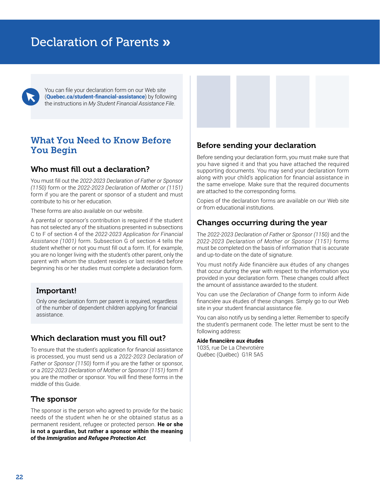# <span id="page-25-0"></span>Declaration of Parents »

You can file your declaration form on our Web site (**[Quebec.ca/student-financial-assistance](http://Quebec.ca/student-financial-assistance)**) by following the instructions in *My Student Financial Assistance File*.

# What You Need to Know Before You Begin

### Who must fill out a declaration?

You must fill out the *2022-2023 Declaration of Father or Sponsor (1150)* form or the *2022-2023 Declaration of Mother or (1151)* form if you are the parent or sponsor of a student and must contribute to his or her education.

These forms are also available on our website.

A parental or sponsor's contribution is required if the student has not selected any of the situations presented in subsections C to F of section 4 of the *2022-2023 Application for Financial Assistance (1001)* form. Subsection G of section 4 tells the student whether or not you must fill out a form. If, for example, you are no longer living with the student's other parent, only the parent with whom the student resides or last resided before beginning his or her studies must complete a declaration form.

#### Important!

Only one declaration form per parent is required, regardless of the number of dependent children applying for financial assistance.

### Which declaration must you fill out?

To ensure that the student's application for financial assistance is processed, you must send us a *2022-2023 Declaration of Father or Sponsor (1150)* form if you are the father or sponsor, or a *2022-2023 Declaration of Mother or Sponsor (1151)* form if you are the mother or sponsor. You will find these forms in the middle of this Guide.

### The sponsor

The sponsor is the person who agreed to provide for the basic needs of the student when he or she obtained status as a permanent resident, refugee or protected person. **He or she is not a guardian, but rather a sponsor within the meaning of the** *Immigration and Refugee Protection Act*.

# Before sending your declaration

Before sending your declaration form, you must make sure that you have signed it and that you have attached the required supporting documents. You may send your declaration form along with your child's application for financial assistance in the same envelope. Make sure that the required documents are attached to the corresponding forms.

Copies of the declaration forms are available on our Web site or from educational institutions.

### Changes occurring during the year

The *2022-2023 Declaration of Father or Sponsor (1150)* and the *2022-2023 Declaration of Mother or Sponsor (1151)* forms must be completed on the basis of information that is accurate and up-to-date on the date of signature.

You must notify Aide financière aux études of any changes that occur during the year with respect to the information you provided in your declaration form. These changes could affect the amount of assistance awarded to the student.

You can use the *Declaration of Change* form to inform Aide financière aux études of these changes. Simply go to our Web site in your student financial assistance file.

You can also notify us by sending a letter. Remember to specify the student's permanent code. The letter must be sent to the following address:

#### **Aide financière aux études**

1035, rue De La Chevrotière Québec (Québec) G1R 5A5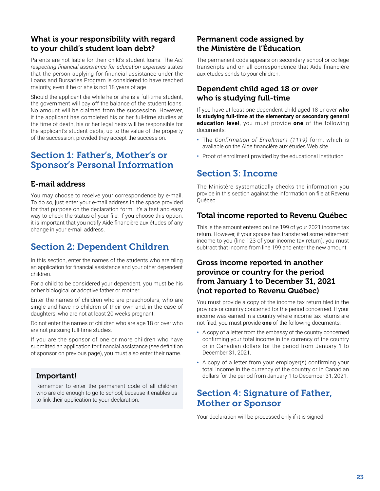# <span id="page-26-0"></span>What is your responsibility with regard to your child's student loan debt?

Parents are not liable for their child's student loans. The *Act respecting financial assistance for education expenses* states that the person applying for financial assistance under the Loans and Bursaries Program is considered to have reached majority, even if he or she is not 18 years of age

Should the applicant die while he or she is a full-time student, the government will pay off the balance of the student loans. No amount will be claimed from the succession. However, if the applicant has completed his or her full-time studies at the time of death, his or her legal heirs will be responsible for the applicant's student debts, up to the value of the property of the succession, provided they accept the succession.

# Section 1: Father's, Mother's or Sponsor's Personal Information

# E-mail address

You may choose to receive your correspondence by e-mail. To do so, just enter your e-mail address in the space provided for that purpose on the declaration form. It's a fast and easy way to check the status of your file! If you choose this option, it is important that you notify Aide financière aux études of any change in your e-mail address.

# Section 2: Dependent Children

In this section, enter the names of the students who are filing an application for financial assistance and your other dependent children.

For a child to be considered your dependent, you must be his or her biological or adoptive father or mother.

Enter the names of children who are preschoolers, who are single and have no children of their own and, in the case of daughters, who are not at least 20 weeks pregnant.

Do not enter the names of children who are age 18 or over who are not pursuing full-time studies.

If you are the sponsor of one or more children who have submitted an application for financial assistance (see definition of sponsor on previous page), you must also enter their name.

# Important!

Remember to enter the permanent code of all children who are old enough to go to school, because it enables us to link their application to your declaration.

# Permanent code assigned by the Ministère de l'Éducation

The permanent code appears on secondary school or college transcripts and on all correspondence that Aide financière aux études sends to your children.

# Dependent child aged 18 or over who is studying full-time

If you have at least one dependent child aged 18 or over **who is studying full-time at the elementary or secondary general education level**, you must provide **one** of the following documents:

- **•** The *Confirmation of Enrollment (1119)* form, which is available on the Aide financière aux études Web site.
- **•** Proof of enrollment provided by the educational institution.

# Section 3: Income

The Ministère systematically checks the information you provide in this section against the information on file at Revenu Québec.

### Total income reported to Revenu Québec

This is the amount entered on line 199 of your 2021 income tax return. However, if your spouse has transferred some retirement income to you (line 123 of your income tax return), you must subtract that income from line 199 and enter the new amount.

# Gross income reported in another province or country for the period from January 1 to December 31, 2021 (not reported to Revenu Québec)

You must provide a copy of the income tax return filed in the province or country concerned for the period concerned. If your income was earned in a country where income tax returns are not filed, you must provide **one** of the following documents:

- **•** A copy of a letter from the embassy of the country concerned confirming your total income in the currency of the country or in Canadian dollars for the period from January 1 to December 31, 2021.
- **•** A copy of a letter from your employer(s) confirming your total income in the currency of the country or in Canadian dollars for the period from January 1 to December 31, 2021.

# Section 4: Signature of Father, Mother or Sponsor

Your declaration will be processed only if it is signed.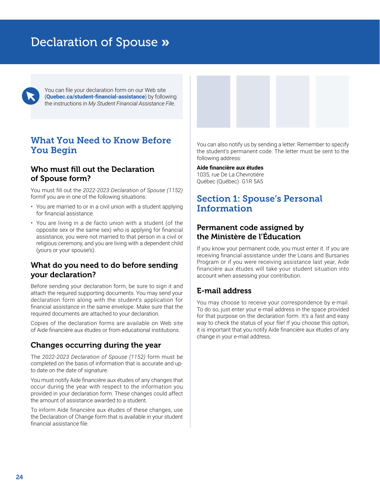# <span id="page-27-0"></span>Declaration of Spouse »

You can file your declaration form on our Web site (**[Quebec.ca/student-financial-assistance](http://Quebec.ca/student-financial-assistance)**) by following the instructions in *My Student Financial Assistance File*.

# What You Need to Know Before You Begin

## Who must fill out the Declaration of Spouse form?

You must fill out the *2022-2023 Declaration of Spouse (1152)* formif you are in one of the following situations:

- **•** You are married to or in a civil union with a student applying for financial assistance.
- **•** You are living in a de facto union with a student (of the opposite sex or the same sex) who is applying for financial assistance, you were not married to that person in a civil or religious ceremony, and you are living with a dependent child (yours or your spouse's).

## What do you need to do before sending your declaration?

Before sending your declaration form, be sure to sign it and attach the required supporting documents. You may send your declaration form along with the student's application for financial assistance in the same envelope. Make sure that the required documents are attached to your declaration.

Copies of the declaration forms are available on Web site of Aide financière aux études or from educational institutions.

#### Changes occurring during the year

The *2022-2023 Declaration of Spouse (1152)* form must be completed on the basis of information that is accurate and upto date on the date of signature.

You must notify Aide financière aux études of any changes that occur during the year with respect to the information you provided in your declaration form. These changes could affect the amount of assistance awarded to a student.

To inform Aide financière aux études of these changes, use the Declaration of Change form that is available in your student financial assistance file.

You can also notify us by sending a letter. Remember to specify the student's permanent code. The letter must be sent to the following address:

#### **Aide financière aux études**

1035, rue De La Chevrotière Québec (Québec) G1R 5A5

# Section 1: Spouse's Personal Information

### Permanent code assigned by the Ministère de l'Éducation

If you know your permanent code, you must enter it. If you are receiving financial assistance under the Loans and Bursaries Program or if you were receiving assistance last year, Aide financière aux études will take your student situation into account when assessing your contribution.

### E-mail address

You may choose to receive your correspondence by e-mail. To do so, just enter your e-mail address in the space provided for that purpose on the declaration form. It's a fast and easy way to check the status of your file! If you choose this option, it is important that you notify Aide financière aux études of any change in your e-mail address.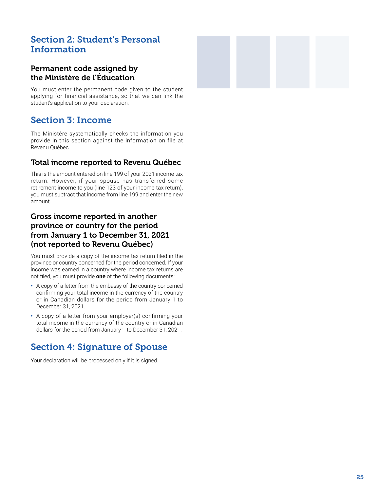# <span id="page-28-0"></span>Section 2: Student's Personal Information

# Permanent code assigned by the Ministère de l'Éducation

You must enter the permanent code given to the student applying for financial assistance, so that we can link the student's application to your declaration.

# Section 3: Income

The Ministère systematically checks the information you provide in this section against the information on file at Revenu Québec.

## Total income reported to Revenu Québec

This is the amount entered on line 199 of your 2021 income tax return. However, if your spouse has transferred some retirement income to you (line 123 of your income tax return), you must subtract that income from line 199 and enter the new amount.

# Gross income reported in another province or country for the period from January 1 to December 31, 2021 (not reported to Revenu Québec)

You must provide a copy of the income tax return filed in the province or country concerned for the period concerned. If your income was earned in a country where income tax returns are not filed, you must provide **one** of the following documents:

- **•** A copy of a letter from the embassy of the country concerned confirming your total income in the currency of the country or in Canadian dollars for the period from January 1 to December 31, 2021.
- **•** A copy of a letter from your employer(s) confirming your total income in the currency of the country or in Canadian dollars for the period from January 1 to December 31, 2021.

# Section 4: Signature of Spouse

Your declaration will be processed only if it is signed.

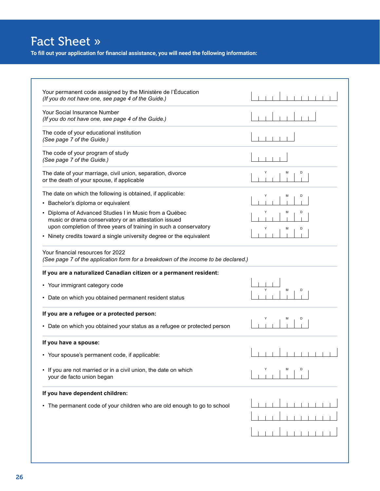# <span id="page-29-0"></span>Fact Sheet »

**To fill out your application for financial assistance, you will need the following information:**

| D<br>M<br>D<br>music or drama conservatory or an attestation issued<br>upon completion of three years of training in such a conservatory<br>D<br>M<br>(See page 7 of the application form for a breakdown of the income to be declared.)<br>M<br>D<br>D<br>м<br>If you are not married or in a civil union, the date on which<br>your de facto union began |                                                                                                                    |  |
|------------------------------------------------------------------------------------------------------------------------------------------------------------------------------------------------------------------------------------------------------------------------------------------------------------------------------------------------------------|--------------------------------------------------------------------------------------------------------------------|--|
|                                                                                                                                                                                                                                                                                                                                                            | Your permanent code assigned by the Ministère de l'Éducation<br>(If you do not have one, see page 4 of the Guide.) |  |
|                                                                                                                                                                                                                                                                                                                                                            | Your Social Insurance Number<br>(If you do not have one, see page 4 of the Guide.)                                 |  |
|                                                                                                                                                                                                                                                                                                                                                            | The code of your educational institution<br>(See page 7 of the Guide.)                                             |  |
|                                                                                                                                                                                                                                                                                                                                                            | The code of your program of study<br>(See page 7 of the Guide.)                                                    |  |
|                                                                                                                                                                                                                                                                                                                                                            | The date of your marriage, civil union, separation, divorce<br>or the death of your spouse, if applicable          |  |
|                                                                                                                                                                                                                                                                                                                                                            | The date on which the following is obtained, if applicable:                                                        |  |
|                                                                                                                                                                                                                                                                                                                                                            | • Bachelor's diploma or equivalent                                                                                 |  |
|                                                                                                                                                                                                                                                                                                                                                            | • Diploma of Advanced Studies I in Music from a Québec                                                             |  |
|                                                                                                                                                                                                                                                                                                                                                            | • Ninety credits toward a single university degree or the equivalent                                               |  |
|                                                                                                                                                                                                                                                                                                                                                            | Your financial resources for 2022                                                                                  |  |
|                                                                                                                                                                                                                                                                                                                                                            | If you are a naturalized Canadian citizen or a permanent resident:                                                 |  |
|                                                                                                                                                                                                                                                                                                                                                            | • Your immigrant category code                                                                                     |  |
|                                                                                                                                                                                                                                                                                                                                                            | • Date on which you obtained permanent resident status                                                             |  |
|                                                                                                                                                                                                                                                                                                                                                            | If you are a refugee or a protected person:                                                                        |  |
|                                                                                                                                                                                                                                                                                                                                                            | • Date on which you obtained your status as a refugee or protected person                                          |  |
|                                                                                                                                                                                                                                                                                                                                                            | If you have a spouse:                                                                                              |  |
|                                                                                                                                                                                                                                                                                                                                                            | • Your spouse's permanent code, if applicable:                                                                     |  |
|                                                                                                                                                                                                                                                                                                                                                            | $\bullet$                                                                                                          |  |
|                                                                                                                                                                                                                                                                                                                                                            | If you have dependent children:                                                                                    |  |
|                                                                                                                                                                                                                                                                                                                                                            | • The permanent code of your children who are old enough to go to school                                           |  |
|                                                                                                                                                                                                                                                                                                                                                            |                                                                                                                    |  |
|                                                                                                                                                                                                                                                                                                                                                            |                                                                                                                    |  |
|                                                                                                                                                                                                                                                                                                                                                            |                                                                                                                    |  |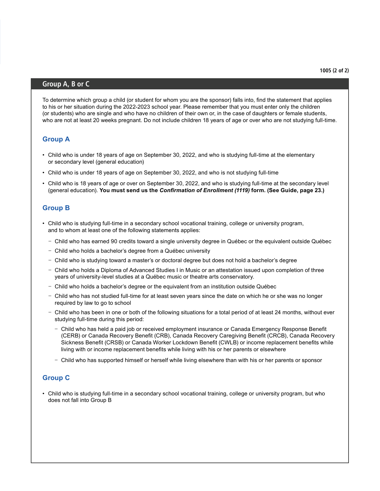#### Group A, B or C

To determine which group a child (or student for whom you are the sponsor) falls into, find the statement that applies to his or her situation during the 2022-2023 school year. Please remember that you must enter only the children (or students) who are single and who have no children of their own or, in the case of daughters or female students, who are not at least 20 weeks pregnant. Do not include children 18 years of age or over who are not studying full-time.

#### **Group A**

- Child who is under 18 years of age on September 30, 2022, and who is studying full-time at the elementary or secondary level (general education)
- Child who is under 18 years of age on September 30, 2022, and who is not studying full-time
- Child who is 18 years of age or over on September 30, 2022, and who is studying full-time at the secondary level (general education). **You must send us the** *Confirmation of Enrollment (1119)* **form. (See Guide, page 23.)**

#### **Group B**

- Child who is studying full-time in a secondary school vocational training, college or university program, and to whom at least one of the following statements applies:
	- Child who has earned 90 credits toward a single university degree in Québec or the equivalent outside Québec
	- Child who holds a bachelor's degree from a Québec university
	- Child who is studying toward a master's or doctoral degree but does not hold a bachelor's degree
	- Child who holds a Diploma of Advanced Studies I in Music or an attestation issued upon completion of three years of university-level studies at a Québec music or theatre arts conservatory.
	- Child who holds a bachelor's degree or the equivalent from an institution outside Québec
	- Child who has not studied full-time for at least seven years since the date on which he or she was no longer required by law to go to school
	- Child who has been in one or both of the following situations for a total period of at least 24 months, without ever studying full-time during this period:
		- Child who has held a paid job or received employment insurance or Canada Emergency Response Benefit (CERB) or Canada Recovery Benefit (CRB), Canada Recovery Caregiving Benefit (CRCB), Canada Recovery Sickness Benefit (CRSB) or Canada Worker Lockdown Benefit (CWLB) or income replacement benefits while living with or income replacement benefits while living with his or her parents or elsewhere
		- Child who has supported himself or herself while living elsewhere than with his or her parents or sponsor

#### **Group C**

• Child who is studying full-time in a secondary school vocational training, college or university program, but who does not fall into Group B